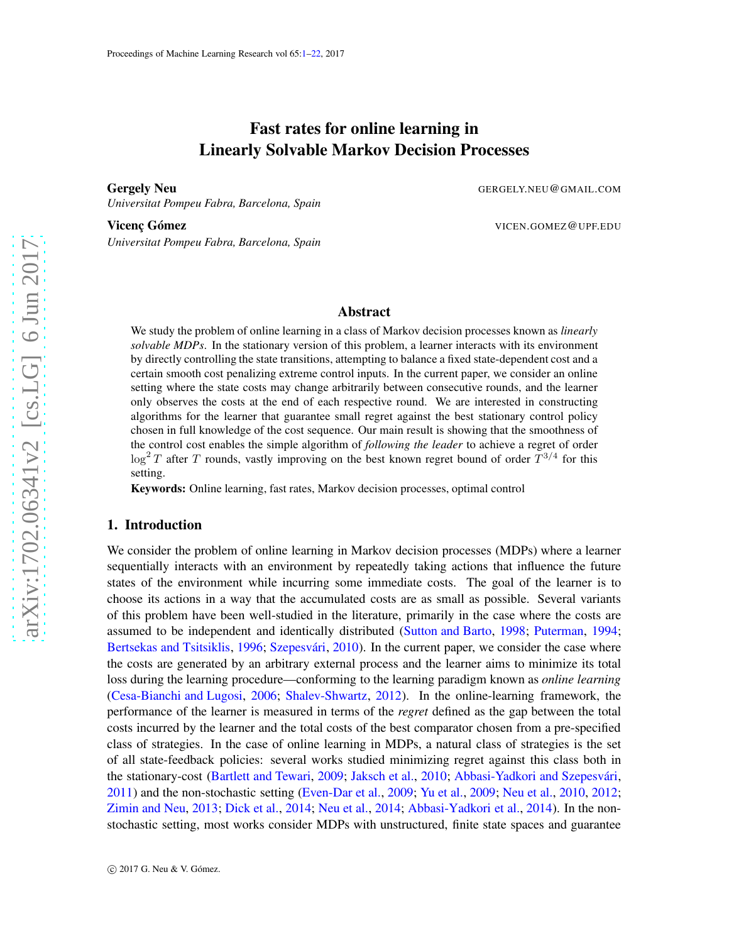# Fast rates for online learning in Linearly Solvable Markov Decision Processes

<span id="page-0-0"></span>**Gergely Neu** 

*Universitat Pompeu Fabra, Barcelona, Spain*

Vicenc Gómez

*Universitat Pompeu Fabra, Barcelona, Spain*

.NEU @GMAIL .COM

.GOMEZ @UPF .EDU

# Abstract

We study the problem of online learning in a class of Markov decision processes known as *linearly solvable MDPs*. In the stationary version of this problem, a learner interacts with its environment by directly controlling the state transitions, attempting to balance a fixed state-dependent cost and a certain smooth cost penalizing extreme control inputs. In the current paper, we consider an online setting where the state costs may change arbitrarily between consecutive rounds, and the learner only observes the costs at the end of each respective round. We are interested in constructing algorithms for the learner that guarantee small regret against the best stationary control policy chosen in full knowledge of the cost sequence. Our main result is showing that the smoothness of the control cost enables the simple algorithm of *following the leader* to achieve a regret of order  $\log^2 T$  after T rounds, vastly improving on the best known regret bound of order  $T^{3/4}$  for this setting.

Keywords: Online learning, fast rates, Markov decision processes, optimal control

### 1. Introduction

We consider the problem of online learning in Markov decision processes (MDPs) where a learner sequentially interacts with an environment by repeatedly taking actions that influence the future states of the environment while incurring some immediate costs. The goal of the learner is to choose its actions in a way that the accumulated costs are as small as possible. Several variants of this problem have been well-studied in the literature, primarily in the case where the costs are assumed to be independent and identically distributed [\(Sutton and Barto](#page-14-0), [1998](#page-14-0); [Puterman](#page-13-0), [1994](#page-13-0); [Bertsekas and Tsitsiklis](#page-12-0), [1996](#page-12-0); Szepesvári, [2010](#page-14-1)). In the current paper, we consider the case where the costs are generated by an arbitrary external process and the learner aims to minimize its total loss during the learning procedure—conforming to the learning paradigm known as *online learning* [\(Cesa-Bianchi and Lugosi,](#page-12-1) [2006;](#page-12-1) [Shalev-Shwartz](#page-14-2), [2012](#page-14-2)). In the online-learning framework, the performance of the learner is measured in terms of the *regret* defined as the gap between the total costs incurred by the learner and the total costs of the best comparator chosen from a pre-specified class of strategies. In the case of online learning in MDPs, a natural class of strategies is the set of all state-feedback policies: several works studied minimizing regret against this class both in the stationary-cost [\(Bartlett and Tewari](#page-12-2), [2009](#page-12-2); [Jaksch et al.](#page-13-1), [2010](#page-13-1); Abbasi-Yadkori and Szepesvári, [2011\)](#page-12-3) and the non-stochastic setting [\(Even-Dar et al.](#page-12-4), [2009](#page-14-3); [Yu et al.](#page-14-3), 2009; [Neu et al.](#page-13-2), [2010](#page-13-2), [2012](#page-13-3); [Zimin and Neu](#page-14-4), [2013](#page-14-4); [Dick et al.](#page-12-5), [2014](#page-12-6); [Neu et al.](#page-13-4), 2014; [Abbasi-Yadkori et al.](#page-12-6), 2014). In the nonstochastic setting, most works consider MDPs with unstructured, finite state spaces and guarantee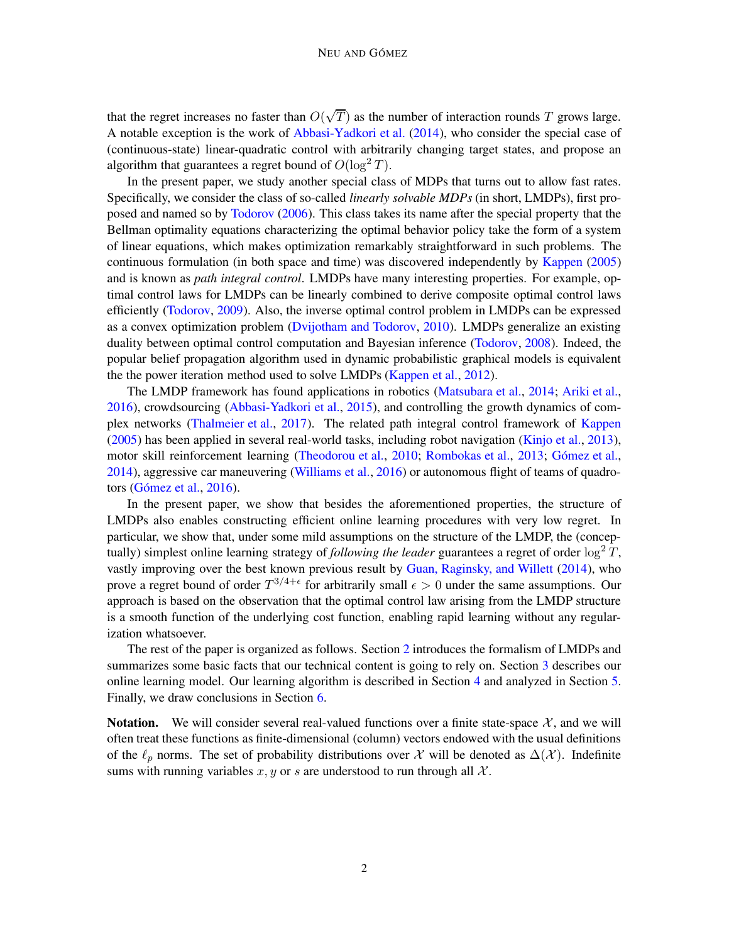that the regret increases no faster than  $O(\sqrt{T})$  as the number of interaction rounds T grows large. A notable exception is the work of [Abbasi-Yadkori et al.](#page-12-6) [\(2014](#page-12-6)), who consider the special case of (continuous-state) linear-quadratic control with arbitrarily changing target states, and propose an algorithm that guarantees a regret bound of  $O(\log^2 T)$ .

In the present paper, we study another special class of MDPs that turns out to allow fast rates. Specifically, we consider the class of so-called *linearly solvable MDPs* (in short, LMDPs), first proposed and named so by [Todorov](#page-14-5) [\(2006](#page-14-5)). This class takes its name after the special property that the Bellman optimality equations characterizing the optimal behavior policy take the form of a system of linear equations, which makes optimization remarkably straightforward in such problems. The continuous formulation (in both space and time) was discovered independently by [Kappen](#page-13-5) [\(2005](#page-13-5)) and is known as *path integral control*. LMDPs have many interesting properties. For example, optimal control laws for LMDPs can be linearly combined to derive composite optimal control laws efficiently [\(Todorov](#page-14-6), [2009](#page-14-6)). Also, the inverse optimal control problem in LMDPs can be expressed as a convex optimization problem [\(Dvijotham and Todorov,](#page-12-7) [2010](#page-12-7)). LMDPs generalize an existing duality between optimal control computation and Bayesian inference [\(Todorov](#page-14-7), [2008\)](#page-14-7). Indeed, the popular belief propagation algorithm used in dynamic probabilistic graphical models is equivalent the the power iteration method used to solve LMDPs [\(Kappen et al.,](#page-13-6) [2012\)](#page-13-6).

The LMDP framework has found applications in robotics [\(Matsubara et al.](#page-13-7), [2014;](#page-13-7) [Ariki et al.](#page-12-8), [2016\)](#page-12-8), crowdsourcing [\(Abbasi-Yadkori et al.,](#page-12-9) [2015](#page-12-9)), and controlling the growth dynamics of complex networks [\(Thalmeier et al.](#page-14-8), [2017](#page-14-8)). The related path integral control framework of [Kappen](#page-13-5) [\(2005](#page-13-5)) has been applied in several real-world tasks, including robot navigation [\(Kinjo et al.](#page-13-8), [2013](#page-13-8)), motor skill reinforcement learning [\(Theodorou et al.,](#page-14-9) [2010](#page-14-9); [Rombokas et al.,](#page-14-10) [2013;](#page-14-10) Gómez et al., [2014\)](#page-12-10), aggressive car maneuvering [\(Williams et al.](#page-14-11), [2016](#page-14-11)) or autonomous flight of teams of quadrotors (Gómez et al.,  $2016$ ).

In the present paper, we show that besides the aforementioned properties, the structure of LMDPs also enables constructing efficient online learning procedures with very low regret. In particular, we show that, under some mild assumptions on the structure of the LMDP, the (conceptually) simplest online learning strategy of *following the leader* guarantees a regret of order  $\log^2 T$ , vastly improving over the best known previous result by [Guan, Raginsky, and Willett](#page-12-12) [\(2014](#page-12-12)), who prove a regret bound of order  $T^{3/4+\epsilon}$  for arbitrarily small  $\epsilon > 0$  under the same assumptions. Our approach is based on the observation that the optimal control law arising from the LMDP structure is a smooth function of the underlying cost function, enabling rapid learning without any regularization whatsoever.

The rest of the paper is organized as follows. Section [2](#page-2-0) introduces the formalism of LMDPs and summarizes some basic facts that our technical content is going to rely on. Section [3](#page-4-0) describes our online learning model. Our learning algorithm is described in Section [4](#page-6-0) and analyzed in Section [5.](#page-7-0) Finally, we draw conclusions in Section [6.](#page-11-0)

**Notation.** We will consider several real-valued functions over a finite state-space  $\mathcal{X}$ , and we will often treat these functions as finite-dimensional (column) vectors endowed with the usual definitions of the  $\ell_p$  norms. The set of probability distributions over X will be denoted as  $\Delta(\mathcal{X})$ . Indefinite sums with running variables  $x, y$  or s are understood to run through all X.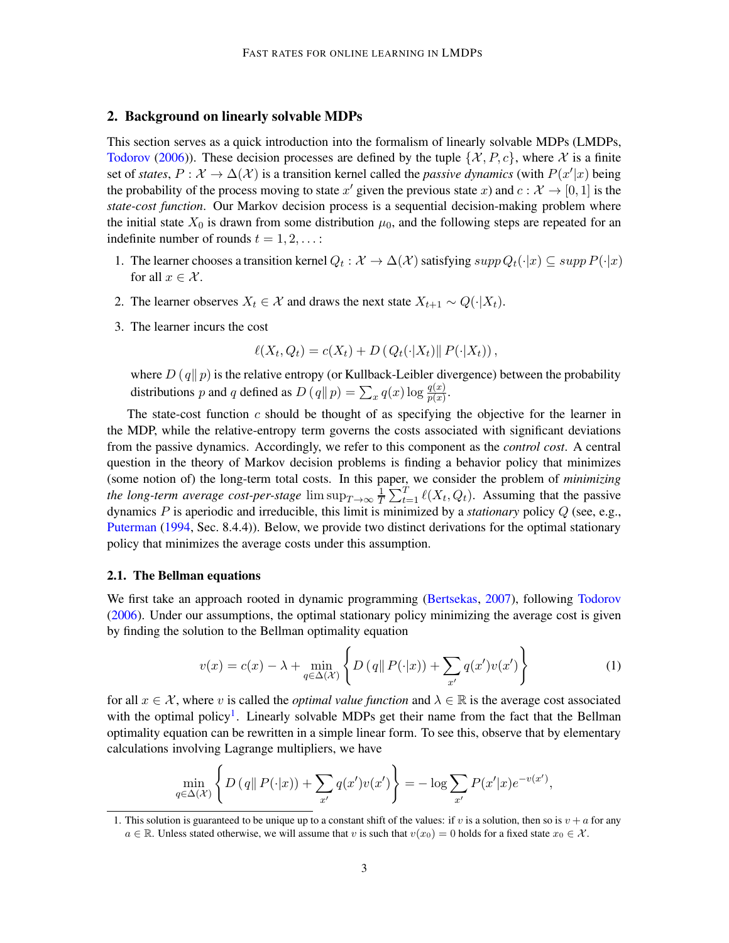# <span id="page-2-0"></span>2. Background on linearly solvable MDPs

This section serves as a quick introduction into the formalism of linearly solvable MDPs (LMDPs, [Todorov](#page-14-5) [\(2006](#page-14-5))). These decision processes are defined by the tuple  $\{\mathcal{X}, P, c\}$ , where X is a finite set of *states*,  $P: \mathcal{X} \to \Delta(\mathcal{X})$  is a transition kernel called the *passive dynamics* (with  $P(x'|x)$  being the probability of the process moving to state  $x'$  given the previous state  $x$ ) and  $c : \mathcal{X} \to [0, 1]$  is the *state-cost function*. Our Markov decision process is a sequential decision-making problem where the initial state  $X_0$  is drawn from some distribution  $\mu_0$ , and the following steps are repeated for an indefinite number of rounds  $t = 1, 2, \ldots$ :

- 1. The learner chooses a transition kernel  $Q_t : \mathcal{X} \to \Delta(\mathcal{X})$  satisfying  $supp Q_t(\cdot|x) \subseteq supp P(\cdot|x)$ for all  $x \in \mathcal{X}$ .
- 2. The learner observes  $X_t \in \mathcal{X}$  and draws the next state  $X_{t+1} \sim Q(\cdot | X_t)$ .
- 3. The learner incurs the cost

$$
\ell(X_t, Q_t) = c(X_t) + D\left(Q_t(\cdot|X_t)\right) P(\cdot|X_t)\right),
$$

where  $D(q||p)$  is the relative entropy (or Kullback-Leibler divergence) between the probability distributions p and q defined as  $D(q||p) = \sum_x q(x) \log \frac{q(x)}{p(x)}$ .

The state-cost function  $c$  should be thought of as specifying the objective for the learner in the MDP, while the relative-entropy term governs the costs associated with significant deviations from the passive dynamics. Accordingly, we refer to this component as the *control cost*. A central question in the theory of Markov decision problems is finding a behavior policy that minimizes (some notion of) the long-term total costs. In this paper, we consider the problem of *minimizing the long-term average cost-per-stage*  $\limsup_{T\to\infty}\frac{1}{T}$  $\frac{1}{T} \sum_{t=1}^{T} \ell(X_t, Q_t)$ . Assuming that the passive dynamics P is aperiodic and irreducible, this limit is minimized by a *stationary* policy Q (see, e.g., [Puterman](#page-13-0) [\(1994](#page-13-0), Sec. 8.4.4)). Below, we provide two distinct derivations for the optimal stationary policy that minimizes the average costs under this assumption.

# <span id="page-2-3"></span>2.1. The Bellman equations

We first take an approach rooted in dynamic programming [\(Bertsekas](#page-12-13), [2007](#page-12-13)), following [Todorov](#page-14-5) [\(2006](#page-14-5)). Under our assumptions, the optimal stationary policy minimizing the average cost is given by finding the solution to the Bellman optimality equation

<span id="page-2-2"></span>
$$
v(x) = c(x) - \lambda + \min_{q \in \Delta(\mathcal{X})} \left\{ D\left(q \mid P(\cdot | x)\right) + \sum_{x'} q(x')v(x') \right\} \tag{1}
$$

for all  $x \in \mathcal{X}$ , where v is called the *optimal value function* and  $\lambda \in \mathbb{R}$  is the average cost associated with the optimal policy<sup>[1](#page-2-1)</sup>. Linearly solvable MDPs get their name from the fact that the Bellman optimality equation can be rewritten in a simple linear form. To see this, observe that by elementary calculations involving Lagrange multipliers, we have

$$
\min_{q \in \Delta(\mathcal{X})} \left\{ D\left(q \mid P(\cdot|x)\right) + \sum_{x'} q(x')v(x') \right\} = -\log \sum_{x'} P(x'|x)e^{-v(x')},
$$

<span id="page-2-1"></span><sup>1.</sup> This solution is guaranteed to be unique up to a constant shift of the values: if v is a solution, then so is  $v + a$  for any  $a \in \mathbb{R}$ . Unless stated otherwise, we will assume that v is such that  $v(x_0) = 0$  holds for a fixed state  $x_0 \in \mathcal{X}$ .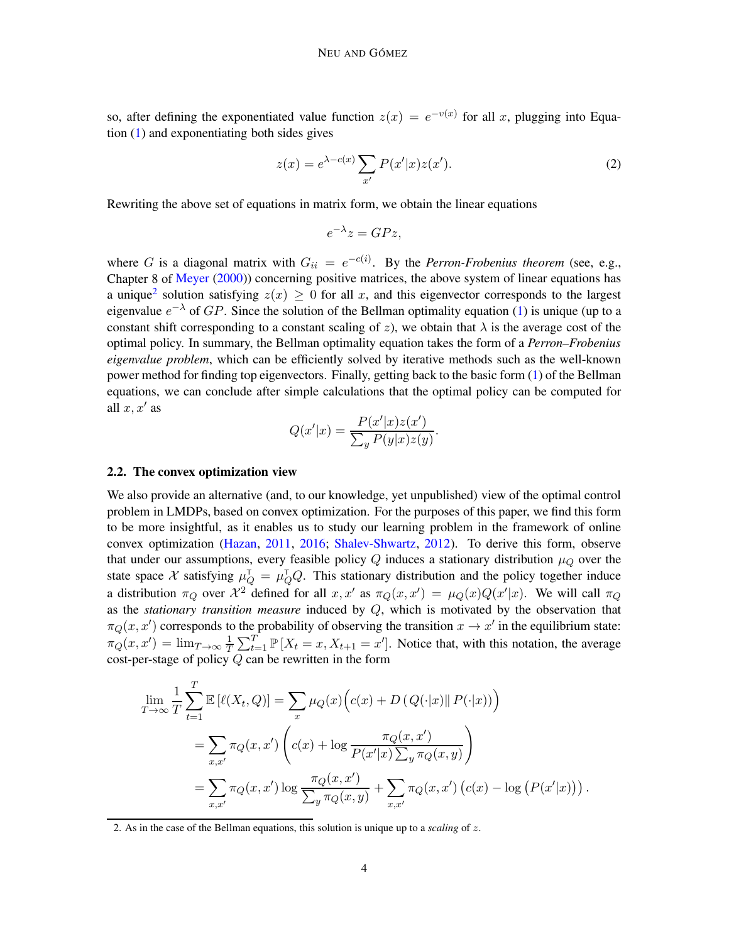so, after defining the exponentiated value function  $z(x) = e^{-v(x)}$  for all x, plugging into Equation [\(1\)](#page-2-2) and exponentiating both sides gives

<span id="page-3-1"></span>
$$
z(x) = e^{\lambda - c(x)} \sum_{x'} P(x'|x) z(x'). \tag{2}
$$

Rewriting the above set of equations in matrix form, we obtain the linear equations

$$
e^{-\lambda}z = GPz,
$$

where G is a diagonal matrix with  $G_{ii} = e^{-c(i)}$ . By the *Perron-Frobenius theorem* (see, e.g., Chapter 8 of [Meyer](#page-13-9) [\(2000](#page-13-9))) concerning positive matrices, the above system of linear equations has a unique<sup>[2](#page-3-0)</sup> solution satisfying  $z(x) \ge 0$  for all x, and this eigenvector corresponds to the largest eigenvalue  $e^{-\lambda}$  of  $GP$ . Since the solution of the Bellman optimality equation [\(1\)](#page-2-2) is unique (up to a constant shift corresponding to a constant scaling of z), we obtain that  $\lambda$  is the average cost of the optimal policy. In summary, the Bellman optimality equation takes the form of a *Perron–Frobenius eigenvalue problem*, which can be efficiently solved by iterative methods such as the well-known power method for finding top eigenvectors. Finally, getting back to the basic form [\(1\)](#page-2-2) of the Bellman equations, we can conclude after simple calculations that the optimal policy can be computed for all  $x, x'$  as

$$
Q(x'|x) = \frac{P(x'|x)z(x')}{\sum_{y} P(y|x)z(y)}.
$$

# <span id="page-3-2"></span>2.2. The convex optimization view

We also provide an alternative (and, to our knowledge, yet unpublished) view of the optimal control problem in LMDPs, based on convex optimization. For the purposes of this paper, we find this form to be more insightful, as it enables us to study our learning problem in the framework of online convex optimization [\(Hazan](#page-13-10), [2011,](#page-13-10) [2016](#page-13-11); [Shalev-Shwartz](#page-14-2), [2012](#page-14-2)). To derive this form, observe that under our assumptions, every feasible policy  $Q$  induces a stationary distribution  $\mu_Q$  over the state space X satisfying  $\mu_Q^T = \mu_Q^T Q$ . This stationary distribution and the policy together induce a distribution  $\pi_Q$  over  $\mathcal{X}^2$  defined for all  $x, x'$  as  $\pi_Q(x, x') = \mu_Q(x)Q(x'|x)$ . We will call  $\pi_Q$ as the *stationary transition measure* induced by Q, which is motivated by the observation that  $\pi_Q(x, x')$  corresponds to the probability of observing the transition  $x \to x'$  in the equilibrium state:  $\pi_Q(x,x') = \lim_{T \to \infty} \frac{1}{T}$  $\frac{1}{T} \sum_{t=1}^{T} \mathbb{P}[X_t = x, X_{t+1} = x']$ . Notice that, with this notation, the average cost-per-stage of policy  $Q$  can be rewritten in the form

$$
\lim_{T \to \infty} \frac{1}{T} \sum_{t=1}^{T} \mathbb{E} \left[ \ell(X_t, Q) \right] = \sum_{x} \mu_Q(x) \Big( c(x) + D \left( Q(\cdot | x) \| P(\cdot | x) \right) \Big)
$$
\n
$$
= \sum_{x, x'} \pi_Q(x, x') \left( c(x) + \log \frac{\pi_Q(x, x')}{P(x'|x) \sum_y \pi_Q(x, y)} \right)
$$
\n
$$
= \sum_{x, x'} \pi_Q(x, x') \log \frac{\pi_Q(x, x')}{\sum_y \pi_Q(x, y)} + \sum_{x, x'} \pi_Q(x, x') \left( c(x) - \log \left( P(x'|x) \right) \right).
$$

<span id="page-3-0"></span>2. As in the case of the Bellman equations, this solution is unique up to a *scaling* of z.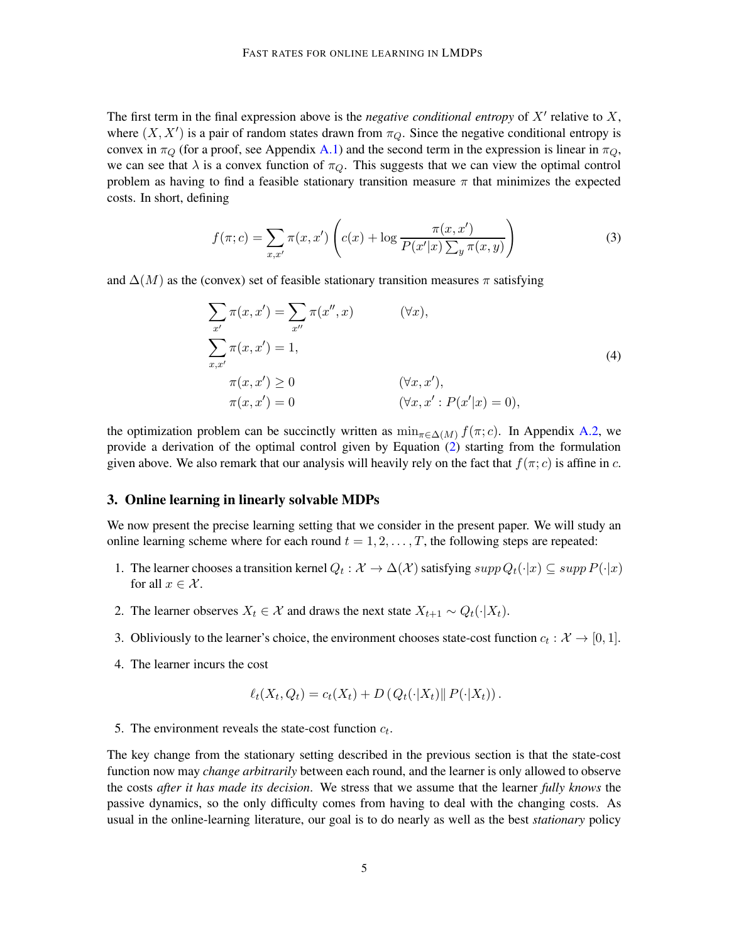The first term in the final expression above is the *negative conditional entropy* of  $X'$  relative to  $X$ , where  $(X, X')$  is a pair of random states drawn from  $\pi_Q$ . Since the negative conditional entropy is convex in  $\pi_Q$  (for a proof, see Appendix [A.1\)](#page-15-0) and the second term in the expression is linear in  $\pi_Q$ , we can see that  $\lambda$  is a convex function of  $\pi_{\mathcal{O}}$ . This suggests that we can view the optimal control problem as having to find a feasible stationary transition measure  $\pi$  that minimizes the expected costs. In short, defining

<span id="page-4-1"></span>
$$
f(\pi; c) = \sum_{x, x'} \pi(x, x') \left( c(x) + \log \frac{\pi(x, x')}{P(x'|x) \sum_{y} \pi(x, y)} \right)
$$
(3)

and  $\Delta(M)$  as the (convex) set of feasible stationary transition measures  $\pi$  satisfying

$$
\sum_{x'} \pi(x, x') = \sum_{x''} \pi(x'', x) \qquad (\forall x),
$$
  

$$
\sum_{x, x'} \pi(x, x') = 1,
$$
  

$$
\pi(x, x') \ge 0 \qquad (\forall x, x'),
$$
  

$$
\pi(x, x') = 0 \qquad (\forall x, x' : P(x'|x) = 0),
$$
  
(4)

the optimization problem can be succinctly written as  $\min_{\pi \in \Delta(M)} f(\pi; c)$ . In Appendix [A.2,](#page-16-0) we provide a derivation of the optimal control given by Equation [\(2\)](#page-3-1) starting from the formulation given above. We also remark that our analysis will heavily rely on the fact that  $f(\pi; c)$  is affine in c.

# <span id="page-4-0"></span>3. Online learning in linearly solvable MDPs

We now present the precise learning setting that we consider in the present paper. We will study an online learning scheme where for each round  $t = 1, 2, \ldots, T$ , the following steps are repeated:

- 1. The learner chooses a transition kernel  $Q_t : \mathcal{X} \to \Delta(\mathcal{X})$  satisfying  $supp Q_t(\cdot|x) \subseteq supp P(\cdot|x)$ for all  $x \in \mathcal{X}$ .
- 2. The learner observes  $X_t \in \mathcal{X}$  and draws the next state  $X_{t+1} \sim Q_t(\cdot | X_t)$ .
- 3. Obliviously to the learner's choice, the environment chooses state-cost function  $c_t : \mathcal{X} \to [0,1]$ .
- 4. The learner incurs the cost

$$
\ell_t(X_t, Q_t) = c_t(X_t) + D\left(Q_t(\cdot | X_t) \| P(\cdot | X_t)\right).
$$

5. The environment reveals the state-cost function  $c_t$ .

The key change from the stationary setting described in the previous section is that the state-cost function now may *change arbitrarily* between each round, and the learner is only allowed to observe the costs *after it has made its decision*. We stress that we assume that the learner *fully knows* the passive dynamics, so the only difficulty comes from having to deal with the changing costs. As usual in the online-learning literature, our goal is to do nearly as well as the best *stationary* policy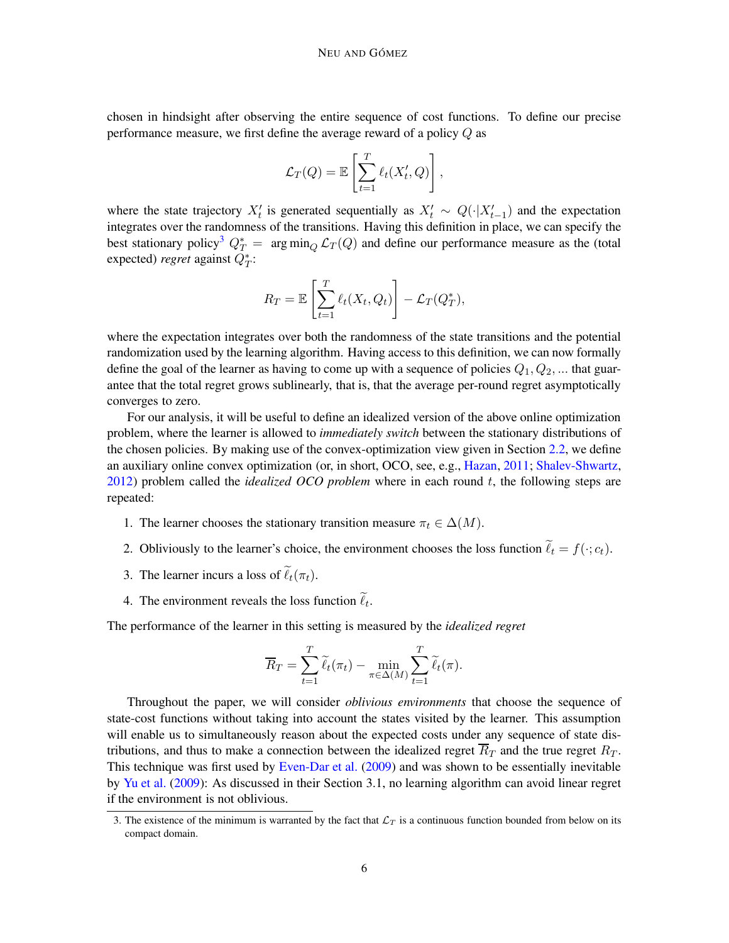chosen in hindsight after observing the entire sequence of cost functions. To define our precise performance measure, we first define the average reward of a policy Q as

$$
\mathcal{L}_T(Q) = \mathbb{E}\left[\sum_{t=1}^T \ell_t(X'_t, Q)\right],
$$

where the state trajectory  $X'_t$  is generated sequentially as  $X'_t \sim Q(\cdot | X'_{t-1})$  and the expectation integrates over the randomness of the transitions. Having this definition in place, we can specify the best stationary policy<sup>[3](#page-5-0)</sup>  $Q_T^* = \arg \min_Q \mathcal{L}_T(Q)$  and define our performance measure as the (total expected) *regret* against  $Q_T^*$ :

$$
R_T = \mathbb{E}\left[\sum_{t=1}^T \ell_t(X_t, Q_t)\right] - \mathcal{L}_T(Q_T^*),
$$

where the expectation integrates over both the randomness of the state transitions and the potential randomization used by the learning algorithm. Having access to this definition, we can now formally define the goal of the learner as having to come up with a sequence of policies  $Q_1, Q_2, ...$  that guarantee that the total regret grows sublinearly, that is, that the average per-round regret asymptotically converges to zero.

For our analysis, it will be useful to define an idealized version of the above online optimization problem, where the learner is allowed to *immediately switch* between the stationary distributions of the chosen policies. By making use of the convex-optimization view given in Section [2.2,](#page-3-2) we define an auxiliary online convex optimization (or, in short, OCO, see, e.g., [Hazan,](#page-13-10) [2011;](#page-13-10) [Shalev-Shwartz](#page-14-2), [2012\)](#page-14-2) problem called the *idealized OCO problem* where in each round t, the following steps are repeated:

- 1. The learner chooses the stationary transition measure  $\pi_t \in \Delta(M)$ .
- 2. Obliviously to the learner's choice, the environment chooses the loss function  $\ell_t = f(\cdot; c_t)$ .
- 3. The learner incurs a loss of  $\ell_t(\pi_t)$ .
- 4. The environment reveals the loss function  $\ell_t$ .

The performance of the learner in this setting is measured by the *idealized regret*

$$
\overline{R}_T = \sum_{t=1}^T \widetilde{\ell}_t(\pi_t) - \min_{\pi \in \Delta(M)} \sum_{t=1}^T \widetilde{\ell}_t(\pi).
$$

Throughout the paper, we will consider *oblivious environments* that choose the sequence of state-cost functions without taking into account the states visited by the learner. This assumption will enable us to simultaneously reason about the expected costs under any sequence of state distributions, and thus to make a connection between the idealized regret  $R_T$  and the true regret  $R_T$ . This technique was first used by [Even-Dar et al.](#page-12-4) [\(2009](#page-12-4)) and was shown to be essentially inevitable by [Yu et al.](#page-14-3) [\(2009](#page-14-3)): As discussed in their Section 3.1, no learning algorithm can avoid linear regret if the environment is not oblivious.

<span id="page-5-0"></span><sup>3.</sup> The existence of the minimum is warranted by the fact that  $\mathcal{L}_T$  is a continuous function bounded from below on its compact domain.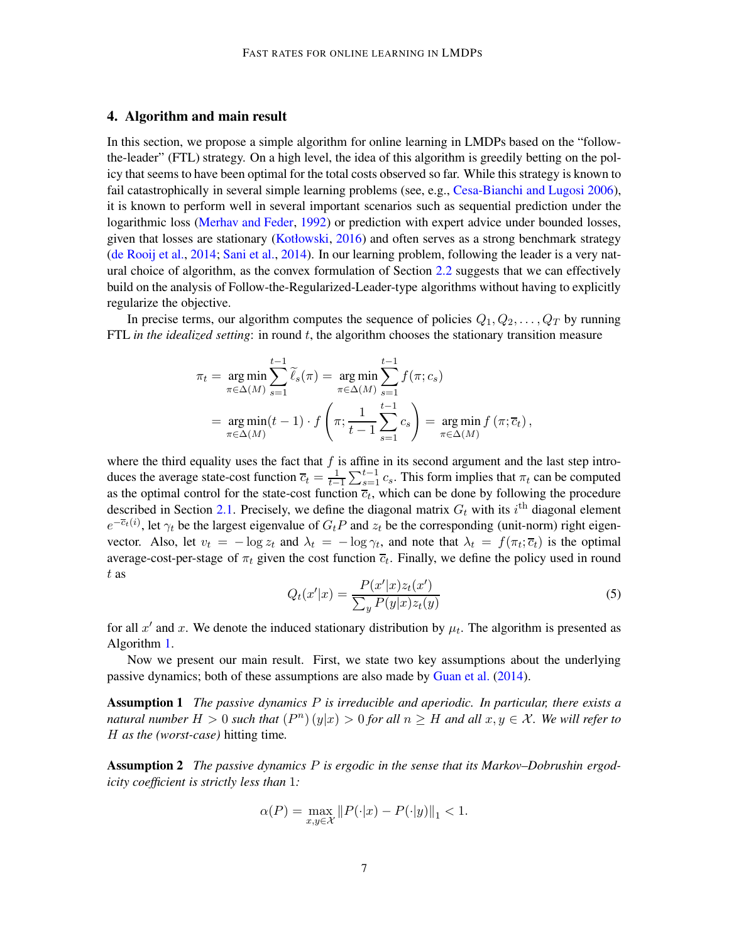# <span id="page-6-0"></span>4. Algorithm and main result

In this section, we propose a simple algorithm for online learning in LMDPs based on the "followthe-leader" (FTL) strategy. On a high level, the idea of this algorithm is greedily betting on the policy that seems to have been optimal for the total costs observed so far. While this strategy is known to fail catastrophically in several simple learning problems (see, e.g., [Cesa-Bianchi and Lugosi 2006](#page-12-1)), it is known to perform well in several important scenarios such as sequential prediction under the logarithmic loss [\(Merhav and Feder,](#page-13-12) [1992](#page-13-12)) or prediction with expert advice under bounded losses, given that losses are stationary [\(Kotłowski](#page-13-13), [2016](#page-13-13)) and often serves as a strong benchmark strategy [\(de Rooij et al.,](#page-12-14) [2014;](#page-12-14) [Sani et al.,](#page-14-12) [2014\)](#page-14-12). In our learning problem, following the leader is a very natural choice of algorithm, as the convex formulation of Section [2.2](#page-3-2) suggests that we can effectively build on the analysis of Follow-the-Regularized-Leader-type algorithms without having to explicitly regularize the objective.

In precise terms, our algorithm computes the sequence of policies  $Q_1, Q_2, \ldots, Q_T$  by running FTL *in the idealized setting*: in round t, the algorithm chooses the stationary transition measure

$$
\pi_t = \underset{\pi \in \Delta(M)}{\arg \min} \sum_{s=1}^{t-1} \widetilde{\ell}_s(\pi) = \underset{\pi \in \Delta(M)}{\arg \min} \sum_{s=1}^{t-1} f(\pi; c_s)
$$

$$
= \underset{\pi \in \Delta(M)}{\arg \min} (t-1) \cdot f\left(\pi; \frac{1}{t-1} \sum_{s=1}^{t-1} c_s\right) = \underset{\pi \in \Delta(M)}{\arg \min} f(\pi; \overline{c}_t),
$$

where the third equality uses the fact that  $f$  is affine in its second argument and the last step introduces the average state-cost function  $\overline{c}_t = \frac{1}{t-1}$  $\frac{1}{t-1} \sum_{s=1}^{t-1} c_s$ . This form implies that  $\pi_t$  can be computed as the optimal control for the state-cost function  $\overline{c}_t$ , which can be done by following the procedure described in Section [2.1.](#page-2-3) Precisely, we define the diagonal matrix  $G_t$  with its i<sup>th</sup> diagonal element  $e^{-\overline{c}_t(i)}$ , let  $\gamma_t$  be the largest eigenvalue of  $G_tP$  and  $z_t$  be the corresponding (unit-norm) right eigenvector. Also, let  $v_t = -\log z_t$  and  $\lambda_t = -\log \gamma_t$ , and note that  $\lambda_t = f(\pi_t; \overline{c}_t)$  is the optimal average-cost-per-stage of  $\pi_t$  given the cost function  $\overline{c}_t$ . Finally, we define the policy used in round t as

<span id="page-6-3"></span><span id="page-6-2"></span>
$$
Q_t(x'|x) = \frac{P(x'|x)z_t(x')}{\sum_y P(y|x)z_t(y)}
$$
(5)

for all x' and x. We denote the induced stationary distribution by  $\mu_t$ . The algorithm is presented as Algorithm [1.](#page-7-1)

Now we present our main result. First, we state two key assumptions about the underlying passive dynamics; both of these assumptions are also made by [Guan et al.](#page-12-12) [\(2014\)](#page-12-12).

Assumption 1 *The passive dynamics* P *is irreducible and aperiodic. In particular, there exists a natural number*  $H > 0$  *such that*  $(P^n)(y|x) > 0$  *for all*  $n \geq H$  *and all*  $x, y \in \mathcal{X}$ *. We will refer to* H *as the (worst-case)* hitting time*.*

<span id="page-6-1"></span>Assumption 2 *The passive dynamics* P *is ergodic in the sense that its Markov–Dobrushin ergodicity coefficient is strictly less than* 1*:*

$$
\alpha(P) = \max_{x,y \in \mathcal{X}} \|P(\cdot|x) - P(\cdot|y)\|_1 < 1.
$$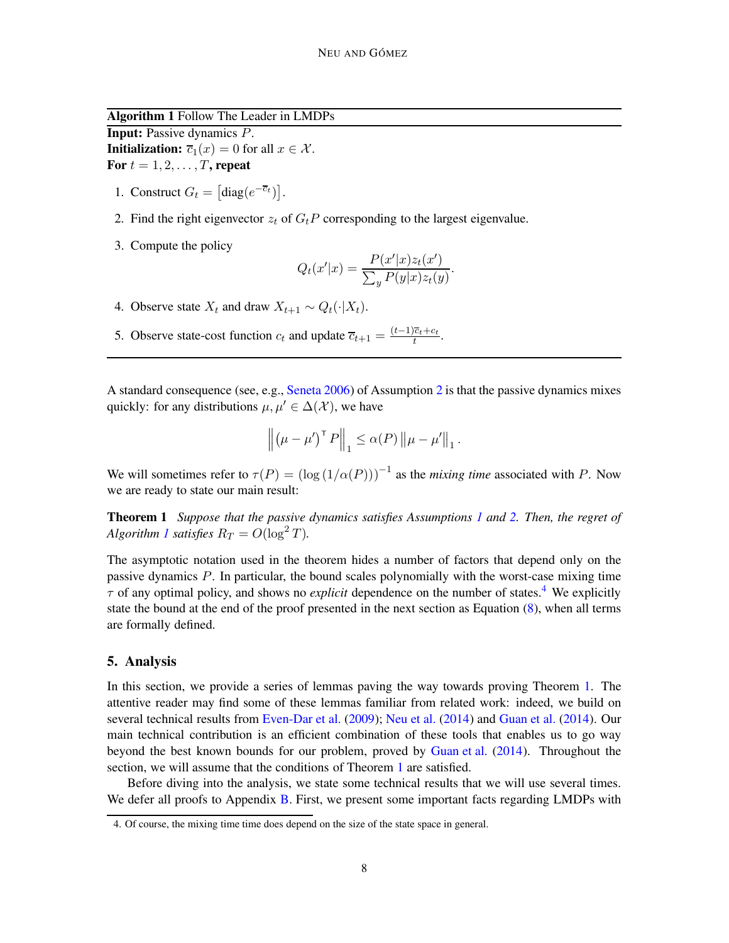Algorithm 1 Follow The Leader in LMDPs

Input: Passive dynamics P. **Initialization:**  $\overline{c}_1(x) = 0$  for all  $x \in \mathcal{X}$ . For  $t = 1, 2, \ldots, T$ , repeat

- 1. Construct  $G_t = [\text{diag}(e^{-\overline{c}_t})].$
- 2. Find the right eigenvector  $z_t$  of  $G_tP$  corresponding to the largest eigenvalue.
- 3. Compute the policy

$$
Q_t(x'|x) = \frac{P(x'|x)z_t(x')}{\sum_y P(y|x)z_t(y)}.
$$

- 4. Observe state  $X_t$  and draw  $X_{t+1} \sim Q_t(\cdot | X_t)$ .
- <span id="page-7-1"></span>5. Observe state-cost function  $c_t$  and update  $\overline{c}_{t+1} = \frac{(t-1)\overline{c}_t + c_t}{t}$  $\frac{ct+ct}{t}$ .

A standard consequence (see, e.g., [Seneta 2006](#page-14-13)) of Assumption [2](#page-6-1) is that the passive dynamics mixes quickly: for any distributions  $\mu, \mu' \in \Delta(\mathcal{X})$ , we have

<span id="page-7-3"></span>
$$
\left\| \left( \mu - \mu' \right)^{\top} P \right\|_1 \leq \alpha(P) \left\| \mu - \mu' \right\|_1.
$$

We will sometimes refer to  $\tau(P) = (\log(1/\alpha(P)))^{-1}$  as the *mixing time* associated with P. Now we are ready to state our main result:

Theorem 1 *Suppose that the passive dynamics satisfies Assumptions [1](#page-6-2) and [2.](#page-6-1) Then, the regret of Algorithm [1](#page-7-1) satisfies*  $R_T = O(\log^2 T)$ *.* 

The asymptotic notation used in the theorem hides a number of factors that depend only on the passive dynamics P. In particular, the bound scales polynomially with the worst-case mixing time  $\tau$  of any optimal policy, and shows no *explicit* dependence on the number of states.<sup>[4](#page-7-2)</sup> We explicitly state the bound at the end of the proof presented in the next section as Equation  $(8)$ , when all terms are formally defined.

# <span id="page-7-0"></span>5. Analysis

In this section, we provide a series of lemmas paving the way towards proving Theorem [1.](#page-7-3) The attentive reader may find some of these lemmas familiar from related work: indeed, we build on several technical results from [Even-Dar et al.](#page-12-4) [\(2009\)](#page-12-4); [Neu et al.](#page-13-4) [\(2014](#page-13-4)) and [Guan et al.](#page-12-12) [\(2014](#page-12-12)). Our main technical contribution is an efficient combination of these tools that enables us to go way beyond the best known bounds for our problem, proved by [Guan et al.](#page-12-12) [\(2014](#page-12-12)). Throughout the section, we will assume that the conditions of Theorem [1](#page-7-3) are satisfied.

Before diving into the analysis, we state some technical results that we will use several times. We defer all proofs to Appendix [B.](#page-17-0) First, we present some important facts regarding LMDPs with

<span id="page-7-2"></span><sup>4.</sup> Of course, the mixing time time does depend on the size of the state space in general.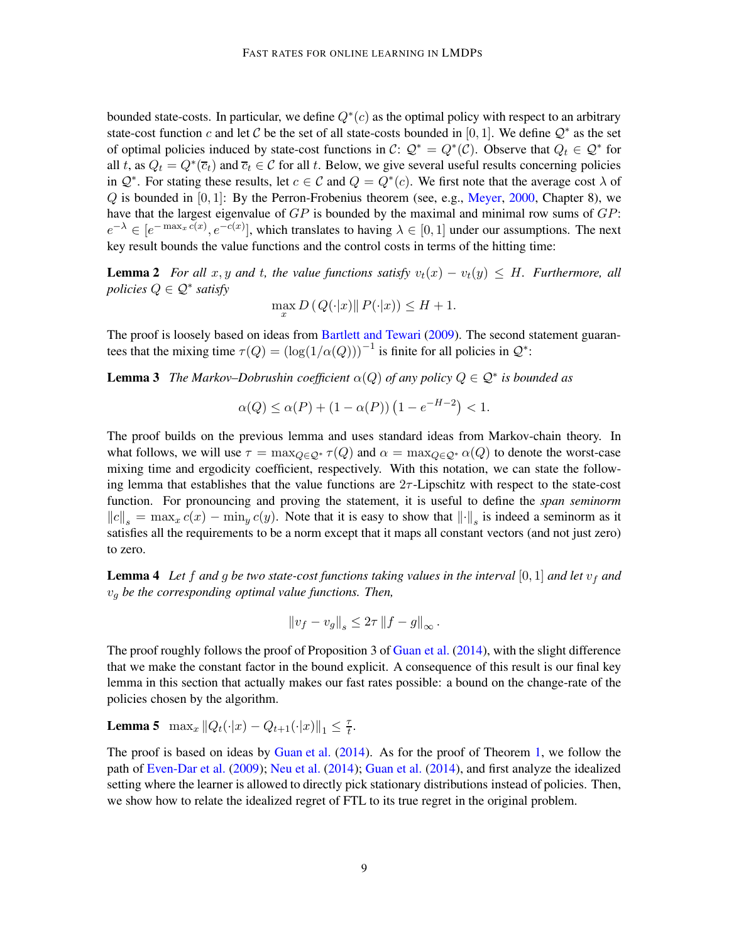bounded state-costs. In particular, we define  $Q^*(c)$  as the optimal policy with respect to an arbitrary state-cost function c and let C be the set of all state-costs bounded in [0, 1]. We define  $\mathcal{Q}^*$  as the set of optimal policies induced by state-cost functions in  $C: \mathcal{Q}^* = Q^*(\mathcal{C})$ . Observe that  $Q_t \in \mathcal{Q}^*$  for all t, as  $Q_t = Q^*(\overline{c}_t)$  and  $\overline{c}_t \in \mathcal{C}$  for all t. Below, we give several useful results concerning policies in  $\mathcal{Q}^*$ . For stating these results, let  $c \in \mathcal{C}$  and  $Q = Q^*(c)$ . We first note that the average cost  $\lambda$  of  $Q$  is bounded in  $[0, 1]$ : By the Perron-Frobenius theorem (see, e.g., [Meyer](#page-13-9), [2000](#page-13-9), Chapter 8), we have that the largest eigenvalue of  $GP$  is bounded by the maximal and minimal row sums of  $GP$ :  $e^{-\lambda} \in [e^{-\max_x c(x)}, e^{-c(x)}]$ , which translates to having  $\lambda \in [0, 1]$  under our assumptions. The next key result bounds the value functions and the control costs in terms of the hitting time:

**Lemma 2** *For all*  $x, y$  *and*  $t$ *, the value functions satisfy*  $v_t(x) - v_t(y) \leq H$ *. Furthermore, all policies* <sup>Q</sup> ∈ Q<sup>∗</sup> *satisfy*

<span id="page-8-3"></span><span id="page-8-2"></span>
$$
\max_{x} D(Q(\cdot|x) \| P(\cdot|x)) \le H + 1.
$$

The proof is loosely based on ideas from [Bartlett and Tewari](#page-12-2) [\(2009\)](#page-12-2). The second statement guarantees that the mixing time  $\tau(Q) = (\log(1/\alpha(Q)))^{-1}$  is finite for all policies in  $\mathcal{Q}^*$ :

**Lemma 3** *The Markov–Dobrushin coefficient*  $\alpha(Q)$  *of any policy*  $Q \in \mathcal{Q}^*$  *is bounded as* 

$$
\alpha(Q) \le \alpha(P) + (1 - \alpha(P)) (1 - e^{-H-2}) < 1.
$$

The proof builds on the previous lemma and uses standard ideas from Markov-chain theory. In what follows, we will use  $\tau = \max_{Q \in \mathcal{Q}^*} \tau(Q)$  and  $\alpha = \max_{Q \in \mathcal{Q}^*} \alpha(Q)$  to denote the worst-case mixing time and ergodicity coefficient, respectively. With this notation, we can state the following lemma that establishes that the value functions are  $2\tau$ -Lipschitz with respect to the state-cost function. For pronouncing and proving the statement, it is useful to define the *span seminorm*  $||c||_s = \max_x c(x) - \min_y c(y)$ . Note that it is easy to show that  $||\cdot||_s$  is indeed a seminorm as it satisfies all the requirements to be a norm except that it maps all constant vectors (and not just zero) to zero.

<span id="page-8-1"></span>**Lemma 4** Let f and g be two state-cost functions taking values in the interval [0, 1] and let  $v_f$  and v<sup>g</sup> *be the corresponding optimal value functions. Then,*

<span id="page-8-0"></span>
$$
\left\|v_f - v_g\right\|_s \leq 2\tau \left\|f - g\right\|_{\infty}.
$$

The proof roughly follows the proof of Proposition 3 of [Guan et al.](#page-12-12) [\(2014](#page-12-12)), with the slight difference that we make the constant factor in the bound explicit. A consequence of this result is our final key lemma in this section that actually makes our fast rates possible: a bound on the change-rate of the policies chosen by the algorithm.

**Lemma 5** max<sub>x</sub>  $||Q_t(\cdot|x) - Q_{t+1}(\cdot|x)||_1 \leq \frac{\tau}{t}$  $\frac{\tau}{t}$ .

The proof is based on ideas by [Guan et al.](#page-12-12) [\(2014\)](#page-12-12). As for the proof of Theorem [1,](#page-7-3) we follow the path of [Even-Dar et al.](#page-12-4) [\(2009\)](#page-12-4); [Neu et al.](#page-13-4) [\(2014](#page-13-4)); [Guan et al.](#page-12-12) [\(2014\)](#page-12-12), and first analyze the idealized setting where the learner is allowed to directly pick stationary distributions instead of policies. Then, we show how to relate the idealized regret of FTL to its true regret in the original problem.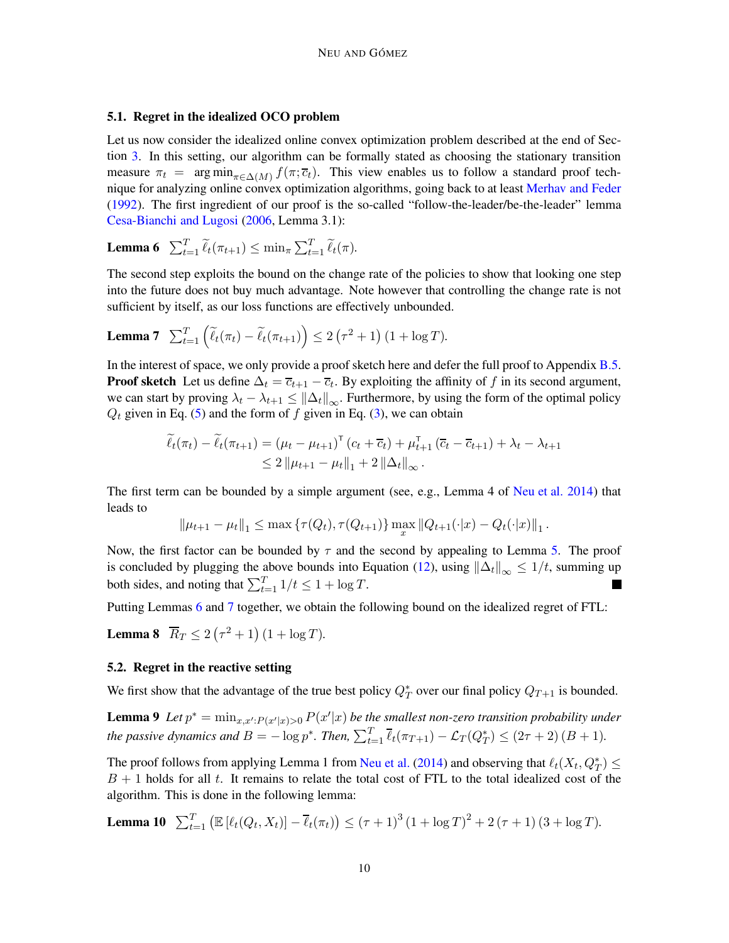# 5.1. Regret in the idealized OCO problem

Let us now consider the idealized online convex optimization problem described at the end of Section [3.](#page-4-0) In this setting, our algorithm can be formally stated as choosing the stationary transition measure  $\pi_t = \arg \min_{\pi \in \Delta(M)} f(\pi; \overline{c}_t)$ . This view enables us to follow a standard proof tech-nique for analyzing online convex optimization algorithms, going back to at least [Merhav and Feder](#page-13-12) [\(1992](#page-13-12)). The first ingredient of our proof is the so-called "follow-the-leader/be-the-leader" lemma [Cesa-Bianchi and Lugosi](#page-12-1) [\(2006](#page-12-1), Lemma 3.1):

<span id="page-9-0"></span>**Lemma 6**  $\sum_{t=1}^{T} \widetilde{\ell}_t(\pi_{t+1}) \le \min_{\pi} \sum_{t=1}^{T} \widetilde{\ell}_t(\pi)$ .

The second step exploits the bound on the change rate of the policies to show that looking one step into the future does not buy much advantage. Note however that controlling the change rate is not sufficient by itself, as our loss functions are effectively unbounded.

**Lemma 7** 
$$
\sum_{t=1}^{T} \left( \widetilde{\ell}_t(\pi_t) - \widetilde{\ell}_t(\pi_{t+1}) \right) \leq 2 \left( \tau^2 + 1 \right) (1 + \log T).
$$

In the interest of space, we only provide a proof sketch here and defer the full proof to Appendix [B.5.](#page-19-0) **Proof sketch** Let us define  $\Delta_t = \overline{c}_{t+1} - \overline{c}_t$ . By exploiting the affinity of f in its second argument, we can start by proving  $\lambda_t - \lambda_{t+1} \leq \|\Delta_t\|_{\infty}$ . Furthermore, by using the form of the optimal policy  $Q_t$  given in Eq. [\(5\)](#page-6-3) and the form of f given in Eq. [\(3\)](#page-4-1), we can obtain

<span id="page-9-1"></span>
$$
\widetilde{\ell}_{t}(\pi_{t}) - \widetilde{\ell}_{t}(\pi_{t+1}) = (\mu_{t} - \mu_{t+1})^{\mathsf{T}} (c_{t} + \overline{c}_{t}) + \mu_{t+1}^{\mathsf{T}} (\overline{c}_{t} - \overline{c}_{t+1}) + \lambda_{t} - \lambda_{t+1} \n\leq 2 \|\mu_{t+1} - \mu_{t}\|_{1} + 2 \|\Delta_{t}\|_{\infty}.
$$

The first term can be bounded by a simple argument (see, e.g., Lemma 4 of [Neu et al. 2014](#page-13-4)) that leads to

<span id="page-9-2"></span>
$$
\|\mu_{t+1} - \mu_t\|_1 \leq \max \left\{\tau(Q_t), \tau(Q_{t+1})\right\} \max_x \|Q_{t+1}(\cdot|x) - Q_t(\cdot|x)\|_1.
$$

Now, the first factor can be bounded by  $\tau$  and the second by appealing to Lemma [5.](#page-8-0) The proof is concluded by plugging the above bounds into Equation [\(12\)](#page-20-0), using  $\left\|\Delta_t\right\|_{\infty} \leq 1/t$ , summing up both sides, and noting that  $\sum_{t=1}^{T} 1/t \le 1 + \log T$ . ٦

Putting Lemmas [6](#page-9-0) and [7](#page-9-1) together, we obtain the following bound on the idealized regret of FTL:

**Lemma 8**  $\overline{R}_T \leq 2(\tau^2 + 1)(1 + \log T)$ .

# 5.2. Regret in the reactive setting

We first show that the advantage of the true best policy  $Q_T^*$  over our final policy  $Q_{T+1}$  is bounded.

**Lemma 9** Let  $p^* = \min_{x,x':P(x'|x)>0} P(x'|x)$  be the smallest non-zero transition probability under *the passive dynamics and*  $B = -\log p^*$ *. Then,*  $\sum_{t=1}^T \overline{\ell}_t(\pi_{T+1}) - \mathcal{L}_T(Q_T^*) \leq (2\tau + 2)(B + 1)$ *.* 

The proof follows from applying Lemma 1 from [Neu et al.](#page-13-4) [\(2014](#page-13-4)) and observing that  $\ell_t(X_t, Q_T^*) \leq$  $B + 1$  holds for all t. It remains to relate the total cost of FTL to the total idealized cost of the algorithm. This is done in the following lemma:

<span id="page-9-3"></span>**Lemma 10** 
$$
\sum_{t=1}^{T} \left( \mathbb{E} \left[ \ell_t(Q_t, X_t) \right] - \overline{\ell}_t(\pi_t) \right) \leq (\tau + 1)^3 (1 + \log T)^2 + 2(\tau + 1) (3 + \log T).
$$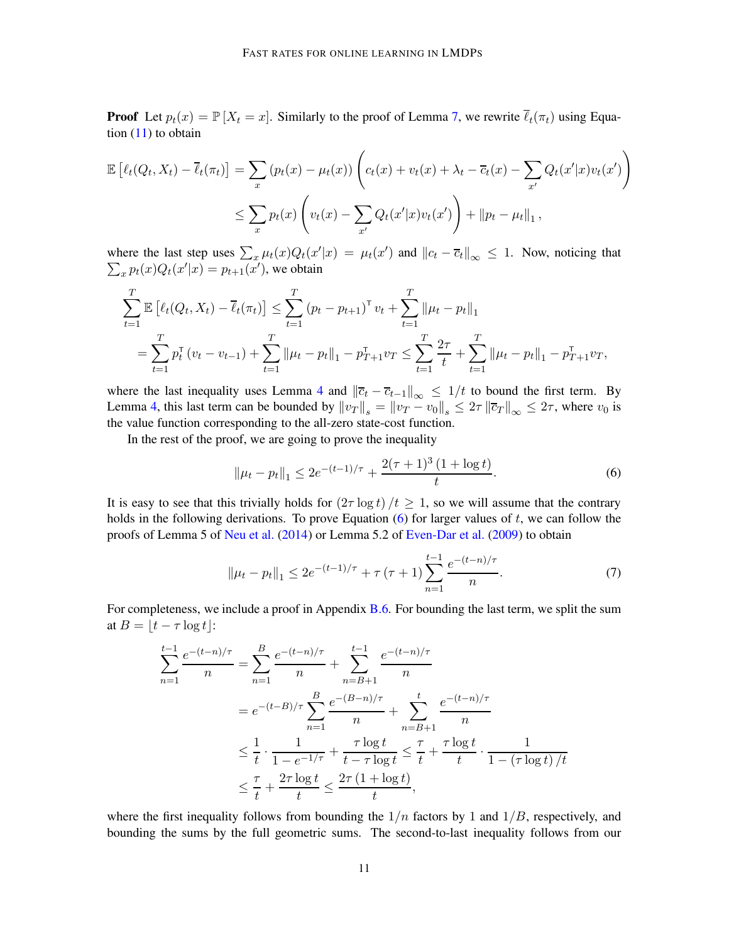**Proof** Let  $p_t(x) = \mathbb{P}[X_t = x]$ . Similarly to the proof of Lemma [7,](#page-9-1) we rewrite  $\overline{\ell}_t(\pi_t)$  using Equation [\(11\)](#page-20-1) to obtain

$$
\mathbb{E}\left[\ell_t(Q_t, X_t) - \overline{\ell}_t(\pi_t)\right] = \sum_x \left(p_t(x) - \mu_t(x)\right) \left(c_t(x) + v_t(x) + \lambda_t - \overline{c}_t(x) - \sum_{x'} Q_t(x'|x)v_t(x')\right)
$$
  

$$
\leq \sum_x p_t(x) \left(v_t(x) - \sum_{x'} Q_t(x'|x)v_t(x')\right) + ||p_t - \mu_t||_1,
$$

where the last step uses  $\sum_{x} \mu_t(x) Q_t(x'|x) = \mu_t(x')$  and  $||c_t - \overline{c}_t||_{\infty} \leq 1$ . Now, noticing that  $\sum_x p_t(x) Q_t(x'|x) = p_{t+1}(x')$ , we obtain

$$
\sum_{t=1}^{T} \mathbb{E} \left[ \ell_t(Q_t, X_t) - \overline{\ell}_t(\pi_t) \right] \leq \sum_{t=1}^{T} (p_t - p_{t+1})^{\mathsf{T}} v_t + \sum_{t=1}^{T} \|\mu_t - p_t\|_1
$$
\n
$$
= \sum_{t=1}^{T} p_t^{\mathsf{T}} (v_t - v_{t-1}) + \sum_{t=1}^{T} \|\mu_t - p_t\|_1 - p_{T+1}^{\mathsf{T}} v_T \leq \sum_{t=1}^{T} \frac{2\tau}{t} + \sum_{t=1}^{T} \|\mu_t - p_t\|_1 - p_{T+1}^{\mathsf{T}} v_T,
$$

where the last inequality uses Lemma [4](#page-8-1) and  $\|\bar{c}_t - \bar{c}_{t-1}\|_{\infty} \leq 1/t$  to bound the first term. By Lemma [4,](#page-8-1) this last term can be bounded by  $||v_T||_s = ||v_T - v_0||_s \leq 2\tau ||\overline{c}_T||_{\infty} \leq 2\tau$ , where  $v_0$  is the value function corresponding to the all-zero state-cost function.

In the rest of the proof, we are going to prove the inequality

<span id="page-10-0"></span>
$$
\|\mu_t - p_t\|_1 \le 2e^{-(t-1)/\tau} + \frac{2(\tau+1)^3 (1+\log t)}{t}.
$$
 (6)

It is easy to see that this trivially holds for  $(2\tau \log t)/t \geq 1$ , so we will assume that the contrary holds in the following derivations. To prove Equation  $(6)$  for larger values of t, we can follow the proofs of Lemma 5 of [Neu et al.](#page-13-4) [\(2014](#page-13-4)) or Lemma 5.2 of [Even-Dar et al.](#page-12-4) [\(2009](#page-12-4)) to obtain

<span id="page-10-1"></span>
$$
\|\mu_t - p_t\|_1 \le 2e^{-(t-1)/\tau} + \tau(\tau+1) \sum_{n=1}^{t-1} \frac{e^{-(t-n)/\tau}}{n}.\tag{7}
$$

For completeness, we include a proof in Appendix [B.6.](#page-20-2) For bounding the last term, we split the sum at  $B = |t - \tau \log t|$ :

$$
\sum_{n=1}^{t-1} \frac{e^{-(t-n)/\tau}}{n} = \sum_{n=1}^{B} \frac{e^{-(t-n)/\tau}}{n} + \sum_{n=B+1}^{t-1} \frac{e^{-(t-n)/\tau}}{n}
$$

$$
= e^{-(t-B)/\tau} \sum_{n=1}^{B} \frac{e^{-(B-n)/\tau}}{n} + \sum_{n=B+1}^{t} \frac{e^{-(t-n)/\tau}}{n}
$$

$$
\leq \frac{1}{t} \cdot \frac{1}{1 - e^{-1/\tau}} + \frac{\tau \log t}{t - \tau \log t} \leq \frac{\tau}{t} + \frac{\tau \log t}{t} \cdot \frac{1}{1 - (\tau \log t)/t}
$$

$$
\leq \frac{\tau}{t} + \frac{2\tau \log t}{t} \leq \frac{2\tau (1 + \log t)}{t},
$$

where the first inequality follows from bounding the  $1/n$  factors by 1 and  $1/B$ , respectively, and bounding the sums by the full geometric sums. The second-to-last inequality follows from our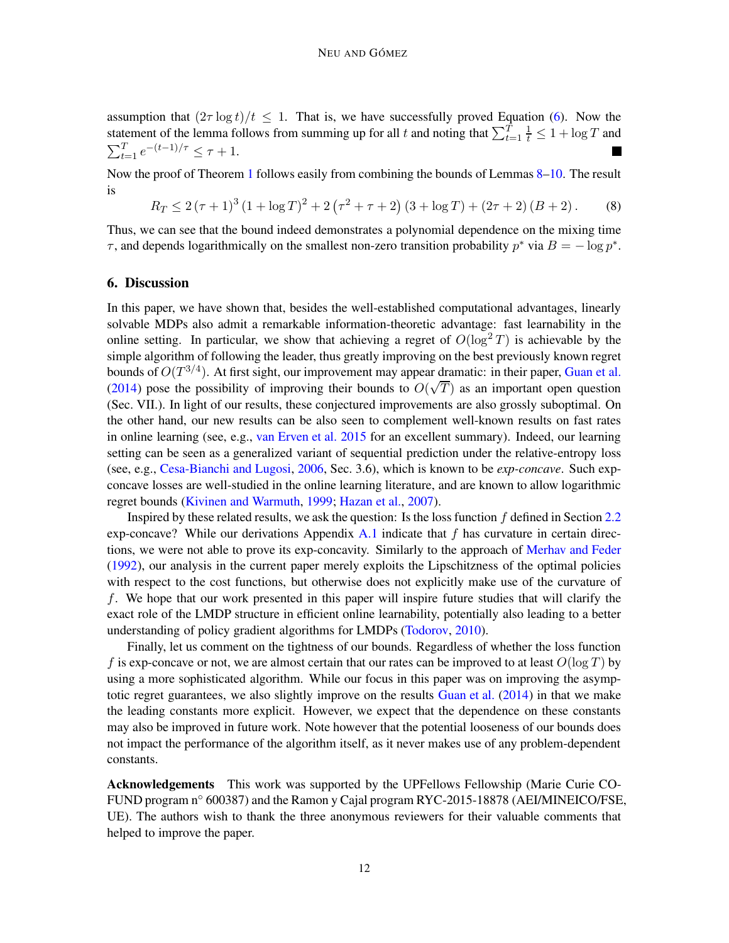assumption that  $(2\tau \log t)/t \leq 1$ . That is, we have successfully proved Equation [\(6\)](#page-10-0). Now the statement of the lemma follows from summing up for all t and noting that  $\sum_{t=1}^{T} \frac{1}{t} \leq 1 + \log T$  and  $\sum_{t=1}^{T} e^{-(t-1)/\tau} \leq \tau + 1.$ **In the first** 

Now the proof of Theorem [1](#page-7-3) follows easily from combining the bounds of Lemmas [8–](#page-9-2)[10.](#page-9-3) The result is

<span id="page-11-1"></span> $R_T \leq 2(\tau+1)^3 (1 + \log T)^2 + 2(\tau^2 + \tau + 2) (3 + \log T) + (2\tau + 2) (B + 2).$  (8)

Thus, we can see that the bound indeed demonstrates a polynomial dependence on the mixing time  $\tau$ , and depends logarithmically on the smallest non-zero transition probability  $p^*$  via  $B = -\log p^*$ .

### <span id="page-11-0"></span>6. Discussion

In this paper, we have shown that, besides the well-established computational advantages, linearly solvable MDPs also admit a remarkable information-theoretic advantage: fast learnability in the online setting. In particular, we show that achieving a regret of  $O(\log^2 T)$  is achievable by the simple algorithm of following the leader, thus greatly improving on the best previously known regret bounds of  $O(T^{3/4})$ . At first sight, our improvement may appear dramatic: in their paper, [Guan et al.](#page-12-12) [\(2014](#page-12-12)) pose the possibility of improving their bounds to  $O(\sqrt{T})$  as an important open question (Sec. VII.). In light of our results, these conjectured improvements are also grossly suboptimal. On the other hand, our new results can be also seen to complement well-known results on fast rates in online learning (see, e.g., [van Erven et al. 2015](#page-14-14) for an excellent summary). Indeed, our learning setting can be seen as a generalized variant of sequential prediction under the relative-entropy loss (see, e.g., [Cesa-Bianchi and Lugosi](#page-12-1), [2006,](#page-12-1) Sec. 3.6), which is known to be *exp-concave*. Such expconcave losses are well-studied in the online learning literature, and are known to allow logarithmic regret bounds [\(Kivinen and Warmuth](#page-13-14), [1999](#page-13-14); [Hazan et al.](#page-13-15), [2007](#page-13-15)).

Inspired by these related results, we ask the question: Is the loss function  $f$  defined in Section [2.2](#page-3-2) exp-concave? While our derivations Appendix [A.1](#page-15-0) indicate that f has curvature in certain directions, we were not able to prove its exp-concavity. Similarly to the approach of [Merhav and Feder](#page-13-12) [\(1992](#page-13-12)), our analysis in the current paper merely exploits the Lipschitzness of the optimal policies with respect to the cost functions, but otherwise does not explicitly make use of the curvature of f. We hope that our work presented in this paper will inspire future studies that will clarify the exact role of the LMDP structure in efficient online learnability, potentially also leading to a better understanding of policy gradient algorithms for LMDPs [\(Todorov,](#page-14-15) [2010](#page-14-15)).

Finally, let us comment on the tightness of our bounds. Regardless of whether the loss function f is exp-concave or not, we are almost certain that our rates can be improved to at least  $O(\log T)$  by using a more sophisticated algorithm. While our focus in this paper was on improving the asymptotic regret guarantees, we also slightly improve on the results [Guan et al.](#page-12-12) [\(2014](#page-12-12)) in that we make the leading constants more explicit. However, we expect that the dependence on these constants may also be improved in future work. Note however that the potential looseness of our bounds does not impact the performance of the algorithm itself, as it never makes use of any problem-dependent constants.

Acknowledgements This work was supported by the UPFellows Fellowship (Marie Curie CO-FUND program n◦ 600387) and the Ramon y Cajal program RYC-2015-18878 (AEI/MINEICO/FSE, UE). The authors wish to thank the three anonymous reviewers for their valuable comments that helped to improve the paper.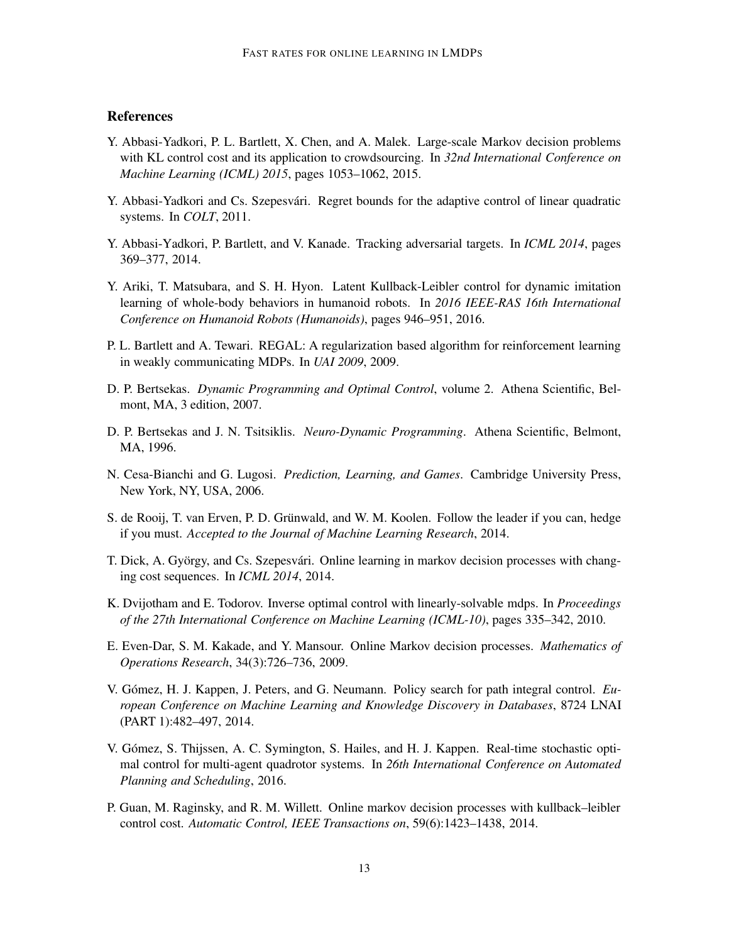# **References**

- <span id="page-12-9"></span>Y. Abbasi-Yadkori, P. L. Bartlett, X. Chen, and A. Malek. Large-scale Markov decision problems with KL control cost and its application to crowdsourcing. In *32nd International Conference on Machine Learning (ICML) 2015*, pages 1053–1062, 2015.
- <span id="page-12-3"></span>Y. Abbasi-Yadkori and Cs. Szepesvári. Regret bounds for the adaptive control of linear quadratic systems. In *COLT*, 2011.
- <span id="page-12-6"></span>Y. Abbasi-Yadkori, P. Bartlett, and V. Kanade. Tracking adversarial targets. In *ICML 2014*, pages 369–377, 2014.
- <span id="page-12-8"></span>Y. Ariki, T. Matsubara, and S. H. Hyon. Latent Kullback-Leibler control for dynamic imitation learning of whole-body behaviors in humanoid robots. In *2016 IEEE-RAS 16th International Conference on Humanoid Robots (Humanoids)*, pages 946–951, 2016.
- <span id="page-12-2"></span>P. L. Bartlett and A. Tewari. REGAL: A regularization based algorithm for reinforcement learning in weakly communicating MDPs. In *UAI 2009*, 2009.
- <span id="page-12-13"></span>D. P. Bertsekas. *Dynamic Programming and Optimal Control*, volume 2. Athena Scientific, Belmont, MA, 3 edition, 2007.
- <span id="page-12-0"></span>D. P. Bertsekas and J. N. Tsitsiklis. *Neuro-Dynamic Programming*. Athena Scientific, Belmont, MA, 1996.
- <span id="page-12-1"></span>N. Cesa-Bianchi and G. Lugosi. *Prediction, Learning, and Games*. Cambridge University Press, New York, NY, USA, 2006.
- <span id="page-12-14"></span>S. de Rooij, T. van Erven, P. D. Grünwald, and W. M. Koolen. Follow the leader if you can, hedge if you must. *Accepted to the Journal of Machine Learning Research*, 2014.
- <span id="page-12-5"></span>T. Dick, A. György, and Cs. Szepesvári. Online learning in markov decision processes with changing cost sequences. In *ICML 2014*, 2014.
- <span id="page-12-7"></span>K. Dvijotham and E. Todorov. Inverse optimal control with linearly-solvable mdps. In *Proceedings of the 27th International Conference on Machine Learning (ICML-10)*, pages 335–342, 2010.
- <span id="page-12-4"></span>E. Even-Dar, S. M. Kakade, and Y. Mansour. Online Markov decision processes. *Mathematics of Operations Research*, 34(3):726–736, 2009.
- <span id="page-12-10"></span>V. Gómez, H. J. Kappen, J. Peters, and G. Neumann. Policy search for path integral control. *European Conference on Machine Learning and Knowledge Discovery in Databases*, 8724 LNAI (PART 1):482–497, 2014.
- <span id="page-12-11"></span>V. Gómez, S. Thijssen, A. C. Symington, S. Hailes, and H. J. Kappen. Real-time stochastic optimal control for multi-agent quadrotor systems. In *26th International Conference on Automated Planning and Scheduling*, 2016.
- <span id="page-12-12"></span>P. Guan, M. Raginsky, and R. M. Willett. Online markov decision processes with kullback–leibler control cost. *Automatic Control, IEEE Transactions on*, 59(6):1423–1438, 2014.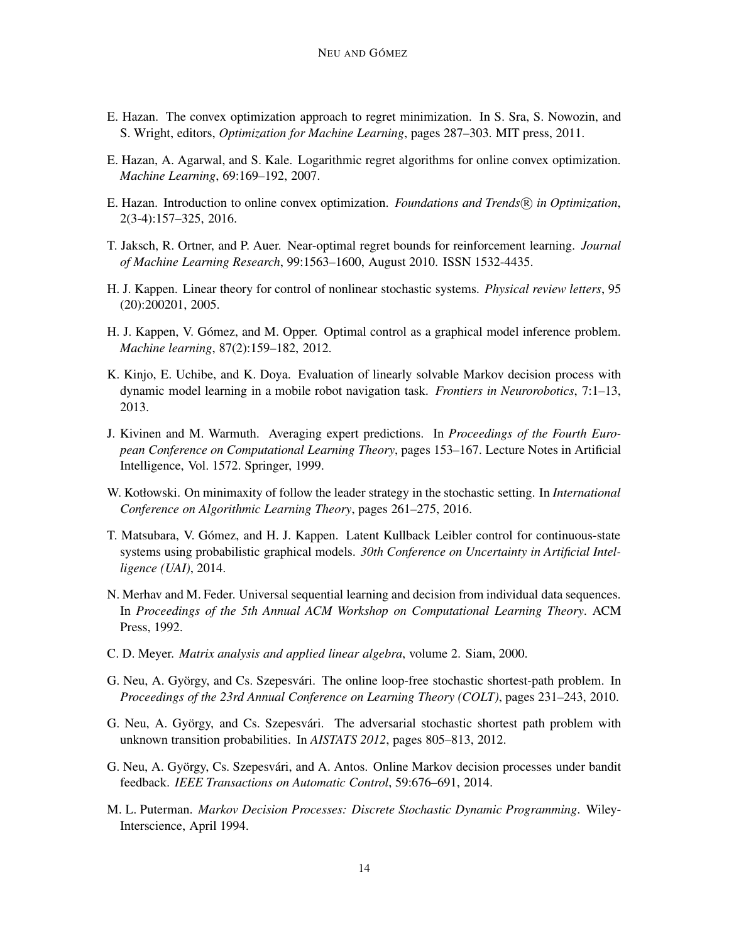- <span id="page-13-10"></span>E. Hazan. The convex optimization approach to regret minimization. In S. Sra, S. Nowozin, and S. Wright, editors, *Optimization for Machine Learning*, pages 287–303. MIT press, 2011.
- <span id="page-13-15"></span>E. Hazan, A. Agarwal, and S. Kale. Logarithmic regret algorithms for online convex optimization. *Machine Learning*, 69:169–192, 2007.
- <span id="page-13-11"></span>E. Hazan. Introduction to online convex optimization. *Foundations and Trends* <sup>R</sup> *in Optimization*, 2(3-4):157–325, 2016.
- <span id="page-13-1"></span>T. Jaksch, R. Ortner, and P. Auer. Near-optimal regret bounds for reinforcement learning. *Journal of Machine Learning Research*, 99:1563–1600, August 2010. ISSN 1532-4435.
- <span id="page-13-5"></span>H. J. Kappen. Linear theory for control of nonlinear stochastic systems. *Physical review letters*, 95 (20):200201, 2005.
- <span id="page-13-6"></span>H. J. Kappen, V. Gómez, and M. Opper. Optimal control as a graphical model inference problem. *Machine learning*, 87(2):159–182, 2012.
- <span id="page-13-8"></span>K. Kinjo, E. Uchibe, and K. Doya. Evaluation of linearly solvable Markov decision process with dynamic model learning in a mobile robot navigation task. *Frontiers in Neurorobotics*, 7:1–13, 2013.
- <span id="page-13-14"></span>J. Kivinen and M. Warmuth. Averaging expert predictions. In *Proceedings of the Fourth European Conference on Computational Learning Theory*, pages 153–167. Lecture Notes in Artificial Intelligence, Vol. 1572. Springer, 1999.
- <span id="page-13-13"></span>W. Kotłowski. On minimaxity of follow the leader strategy in the stochastic setting. In *International Conference on Algorithmic Learning Theory*, pages 261–275, 2016.
- <span id="page-13-7"></span>T. Matsubara, V. Gómez, and H. J. Kappen. Latent Kullback Leibler control for continuous-state systems using probabilistic graphical models. *30th Conference on Uncertainty in Artificial Intelligence (UAI)*, 2014.
- <span id="page-13-12"></span>N. Merhav and M. Feder. Universal sequential learning and decision from individual data sequences. In *Proceedings of the 5th Annual ACM Workshop on Computational Learning Theory*. ACM Press, 1992.
- <span id="page-13-9"></span>C. D. Meyer. *Matrix analysis and applied linear algebra*, volume 2. Siam, 2000.
- <span id="page-13-2"></span>G. Neu, A. György, and Cs. Szepesvári. The online loop-free stochastic shortest-path problem. In *Proceedings of the 23rd Annual Conference on Learning Theory (COLT)*, pages 231–243, 2010.
- <span id="page-13-3"></span>G. Neu, A. György, and Cs. Szepesvári. The adversarial stochastic shortest path problem with unknown transition probabilities. In *AISTATS 2012*, pages 805–813, 2012.
- <span id="page-13-4"></span>G. Neu, A. György, Cs. Szepesvári, and A. Antos. Online Markov decision processes under bandit feedback. *IEEE Transactions on Automatic Control*, 59:676–691, 2014.
- <span id="page-13-0"></span>M. L. Puterman. *Markov Decision Processes: Discrete Stochastic Dynamic Programming*. Wiley-Interscience, April 1994.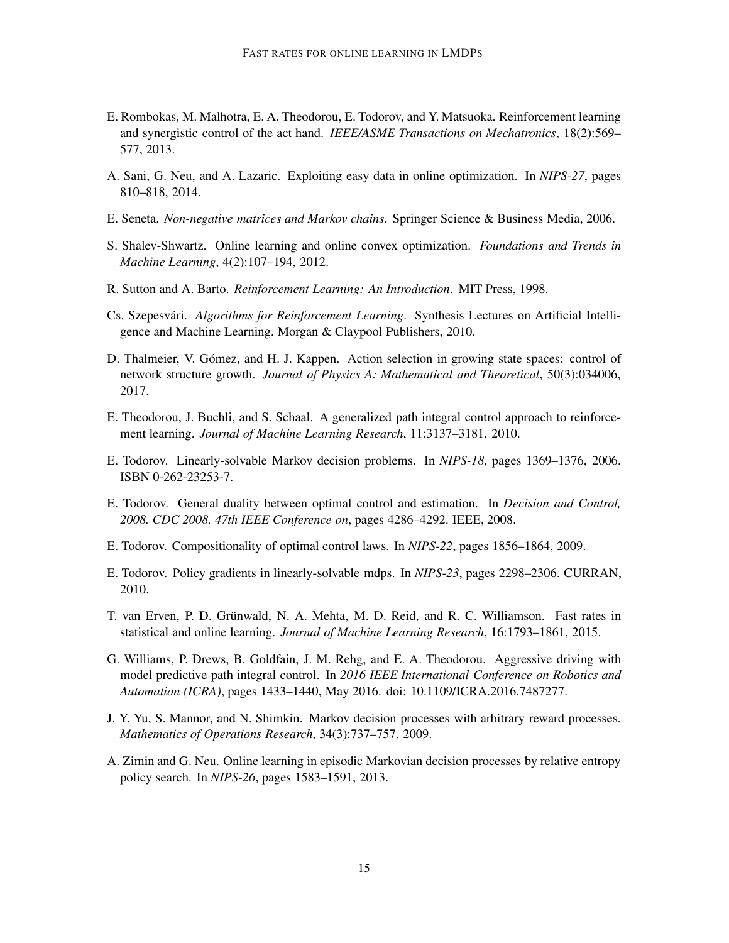- <span id="page-14-10"></span>E. Rombokas, M. Malhotra, E. A. Theodorou, E. Todorov, and Y. Matsuoka. Reinforcement learning and synergistic control of the act hand. *IEEE/ASME Transactions on Mechatronics*, 18(2):569– 577, 2013.
- <span id="page-14-12"></span>A. Sani, G. Neu, and A. Lazaric. Exploiting easy data in online optimization. In *NIPS-27*, pages 810–818, 2014.
- <span id="page-14-13"></span>E. Seneta. *Non-negative matrices and Markov chains*. Springer Science & Business Media, 2006.
- <span id="page-14-2"></span>S. Shalev-Shwartz. Online learning and online convex optimization. *Foundations and Trends in Machine Learning*, 4(2):107–194, 2012.
- <span id="page-14-0"></span>R. Sutton and A. Barto. *Reinforcement Learning: An Introduction*. MIT Press, 1998.
- <span id="page-14-1"></span>Cs. Szepesv´ari. *Algorithms for Reinforcement Learning*. Synthesis Lectures on Artificial Intelligence and Machine Learning. Morgan & Claypool Publishers, 2010.
- <span id="page-14-8"></span>D. Thalmeier, V. Gómez, and H. J. Kappen. Action selection in growing state spaces: control of network structure growth. *Journal of Physics A: Mathematical and Theoretical*, 50(3):034006, 2017.
- <span id="page-14-9"></span>E. Theodorou, J. Buchli, and S. Schaal. A generalized path integral control approach to reinforcement learning. *Journal of Machine Learning Research*, 11:3137–3181, 2010.
- <span id="page-14-5"></span>E. Todorov. Linearly-solvable Markov decision problems. In *NIPS-18*, pages 1369–1376, 2006. ISBN 0-262-23253-7.
- <span id="page-14-7"></span>E. Todorov. General duality between optimal control and estimation. In *Decision and Control, 2008. CDC 2008. 47th IEEE Conference on*, pages 4286–4292. IEEE, 2008.
- <span id="page-14-6"></span>E. Todorov. Compositionality of optimal control laws. In *NIPS-22*, pages 1856–1864, 2009.
- <span id="page-14-15"></span>E. Todorov. Policy gradients in linearly-solvable mdps. In *NIPS-23*, pages 2298–2306. CURRAN, 2010.
- <span id="page-14-14"></span>T. van Erven, P. D. Grünwald, N. A. Mehta, M. D. Reid, and R. C. Williamson. Fast rates in statistical and online learning. *Journal of Machine Learning Research*, 16:1793–1861, 2015.
- <span id="page-14-11"></span>G. Williams, P. Drews, B. Goldfain, J. M. Rehg, and E. A. Theodorou. Aggressive driving with model predictive path integral control. In *2016 IEEE International Conference on Robotics and Automation (ICRA)*, pages 1433–1440, May 2016. doi: 10.1109/ICRA.2016.7487277.
- <span id="page-14-3"></span>J. Y. Yu, S. Mannor, and N. Shimkin. Markov decision processes with arbitrary reward processes. *Mathematics of Operations Research*, 34(3):737–757, 2009.
- <span id="page-14-4"></span>A. Zimin and G. Neu. Online learning in episodic Markovian decision processes by relative entropy policy search. In *NIPS-26*, pages 1583–1591, 2013.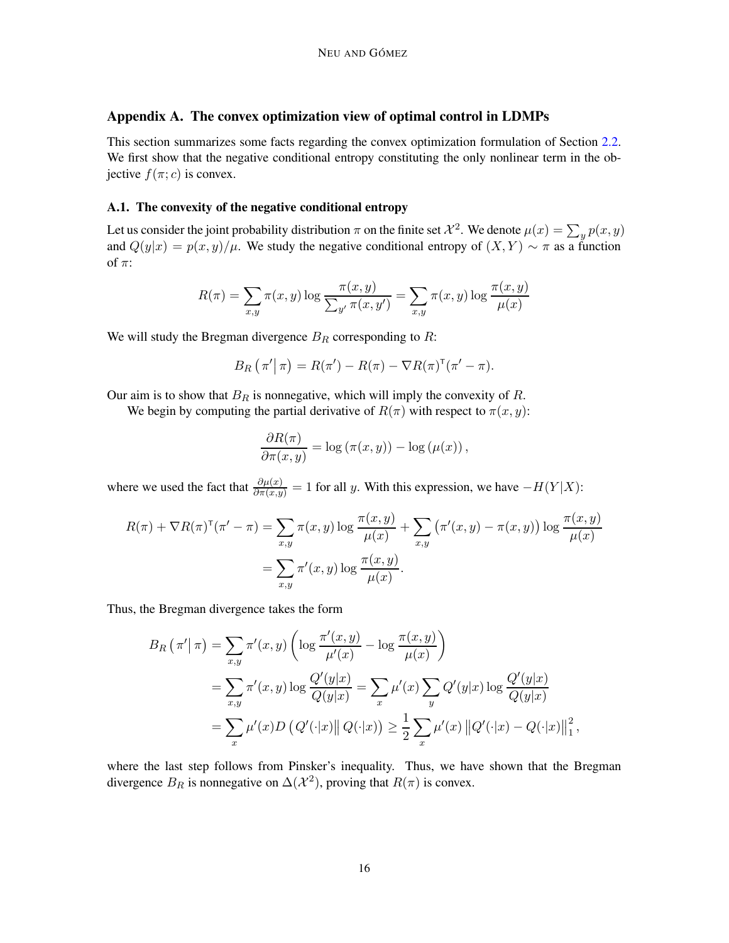# Appendix A. The convex optimization view of optimal control in LDMPs

This section summarizes some facts regarding the convex optimization formulation of Section [2.2.](#page-3-2) We first show that the negative conditional entropy constituting the only nonlinear term in the objective  $f(\pi; c)$  is convex.

#### <span id="page-15-0"></span>A.1. The convexity of the negative conditional entropy

Let us consider the joint probability distribution  $\pi$  on the finite set  $\mathcal{X}^2$ . We denote  $\mu(x) = \sum_y p(x, y)$ and  $Q(y|x) = p(x, y)/\mu$ . We study the negative conditional entropy of  $(X, Y) \sim \pi$  as a function of  $\pi$ :

$$
R(\pi) = \sum_{x,y} \pi(x,y) \log \frac{\pi(x,y)}{\sum_{y'} \pi(x,y')} = \sum_{x,y} \pi(x,y) \log \frac{\pi(x,y)}{\mu(x)}
$$

We will study the Bregman divergence  $B_R$  corresponding to  $R$ :

$$
B_R(\pi'|\pi) = R(\pi') - R(\pi) - \nabla R(\pi)^{\mathsf{T}}(\pi' - \pi).
$$

Our aim is to show that  $B_R$  is nonnegative, which will imply the convexity of R.

We begin by computing the partial derivative of  $R(\pi)$  with respect to  $\pi(x, y)$ :

$$
\frac{\partial R(\pi)}{\partial \pi(x,y)} = \log (\pi(x,y)) - \log (\mu(x)),
$$

where we used the fact that  $\frac{\partial \mu(x)}{\partial \pi(x,y)} = 1$  for all y. With this expression, we have  $-H(Y|X)$ :

$$
R(\pi) + \nabla R(\pi)^{\mathsf{T}}(\pi' - \pi) = \sum_{x,y} \pi(x,y) \log \frac{\pi(x,y)}{\mu(x)} + \sum_{x,y} (\pi'(x,y) - \pi(x,y)) \log \frac{\pi(x,y)}{\mu(x)}
$$

$$
= \sum_{x,y} \pi'(x,y) \log \frac{\pi(x,y)}{\mu(x)}.
$$

Thus, the Bregman divergence takes the form

$$
B_R(\pi'|\pi) = \sum_{x,y} \pi'(x,y) \left( \log \frac{\pi'(x,y)}{\mu'(x)} - \log \frac{\pi(x,y)}{\mu(x)} \right)
$$
  
= 
$$
\sum_{x,y} \pi'(x,y) \log \frac{Q'(y|x)}{Q(y|x)} = \sum_x \mu'(x) \sum_y Q'(y|x) \log \frac{Q'(y|x)}{Q(y|x)}
$$
  
= 
$$
\sum_x \mu'(x) D(Q'(\cdot|x) || Q(\cdot|x)) \ge \frac{1}{2} \sum_x \mu'(x) ||Q'(\cdot|x) - Q(\cdot|x)||_1^2,
$$

where the last step follows from Pinsker's inequality. Thus, we have shown that the Bregman divergence  $B_R$  is nonnegative on  $\Delta(\mathcal{X}^2)$ , proving that  $R(\pi)$  is convex.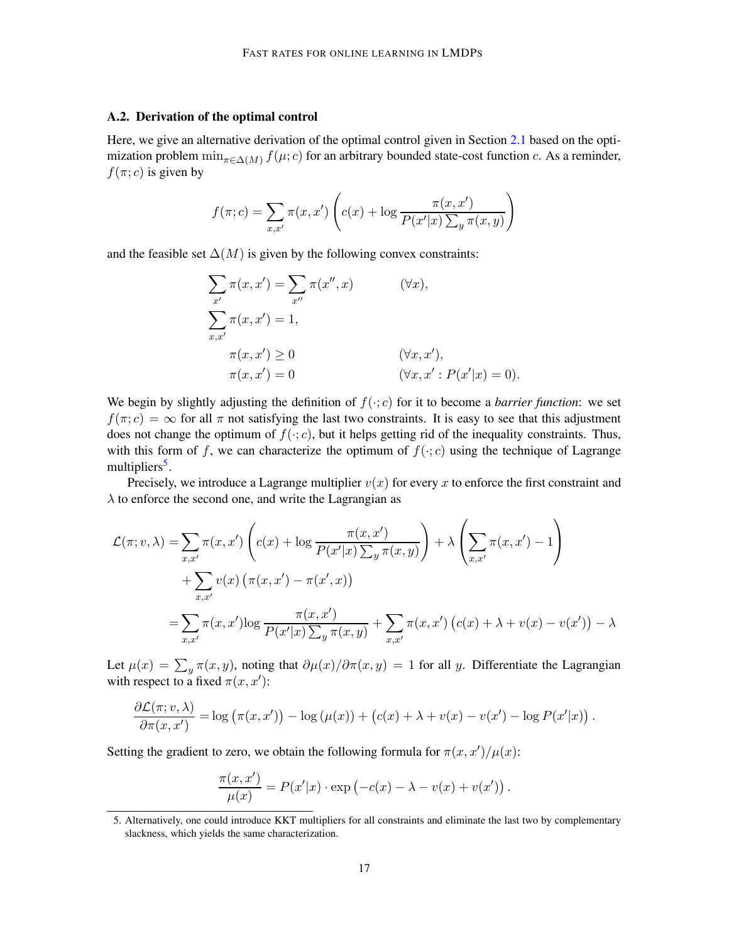### <span id="page-16-0"></span>A.2. Derivation of the optimal control

Here, we give an alternative derivation of the optimal control given in Section [2.1](#page-2-3) based on the optimization problem  $\min_{\pi \in \Delta(M)} f(\mu; c)$  for an arbitrary bounded state-cost function c. As a reminder,  $f(\pi; c)$  is given by

$$
f(\pi; c) = \sum_{x, x'} \pi(x, x') \left( c(x) + \log \frac{\pi(x, x')}{P(x'|x) \sum_{y} \pi(x, y)} \right)
$$

and the feasible set  $\Delta(M)$  is given by the following convex constraints:

$$
\sum_{x'} \pi(x, x') = \sum_{x''} \pi(x'', x) \qquad (\forall x),
$$
  

$$
\sum_{x,x'} \pi(x, x') = 1,
$$
  

$$
\pi(x, x') \ge 0 \qquad (\forall x, x'),
$$
  

$$
\pi(x, x') = 0 \qquad (\forall x, x' : P(x'|x) = 0).
$$

We begin by slightly adjusting the definition of  $f(\cdot;c)$  for it to become a *barrier function*: we set  $f(\pi; c) = \infty$  for all  $\pi$  not satisfying the last two constraints. It is easy to see that this adjustment does not change the optimum of  $f(\cdot; c)$ , but it helps getting rid of the inequality constraints. Thus, with this form of f, we can characterize the optimum of  $f(\cdot; c)$  using the technique of Lagrange multipliers<sup>[5](#page-16-1)</sup>.

Precisely, we introduce a Lagrange multiplier  $v(x)$  for every x to enforce the first constraint and  $\lambda$  to enforce the second one, and write the Lagrangian as

$$
\mathcal{L}(\pi; v, \lambda) = \sum_{x, x'} \pi(x, x') \left( c(x) + \log \frac{\pi(x, x')}{P(x'|x) \sum_{y} \pi(x, y)} \right) + \lambda \left( \sum_{x, x'} \pi(x, x') - 1 \right)
$$

$$
+ \sum_{x, x'} v(x) \left( \pi(x, x') - \pi(x', x) \right)
$$

$$
= \sum_{x, x'} \pi(x, x') \log \frac{\pi(x, x')}{P(x'|x) \sum_{y} \pi(x, y)} + \sum_{x, x'} \pi(x, x') \left( c(x) + \lambda + v(x) - v(x') \right) - \lambda
$$

Let  $\mu(x) = \sum_{y} \pi(x, y)$ , noting that  $\partial \mu(x)/\partial \pi(x, y) = 1$  for all y. Differentiate the Lagrangian with respect to a fixed  $\pi(x, x')$ :

$$
\frac{\partial \mathcal{L}(\pi; v, \lambda)}{\partial \pi(x, x')} = \log (\pi(x, x')) - \log (\mu(x)) + (c(x) + \lambda + v(x) - v(x') - \log P(x'|x)).
$$

Setting the gradient to zero, we obtain the following formula for  $\pi(x, x')/\mu(x)$ :

$$
\frac{\pi(x, x')}{\mu(x)} = P(x'|x) \cdot \exp(-c(x) - \lambda - v(x) + v(x')).
$$

<span id="page-16-1"></span><sup>5.</sup> Alternatively, one could introduce KKT multipliers for all constraints and eliminate the last two by complementary slackness, which yields the same characterization.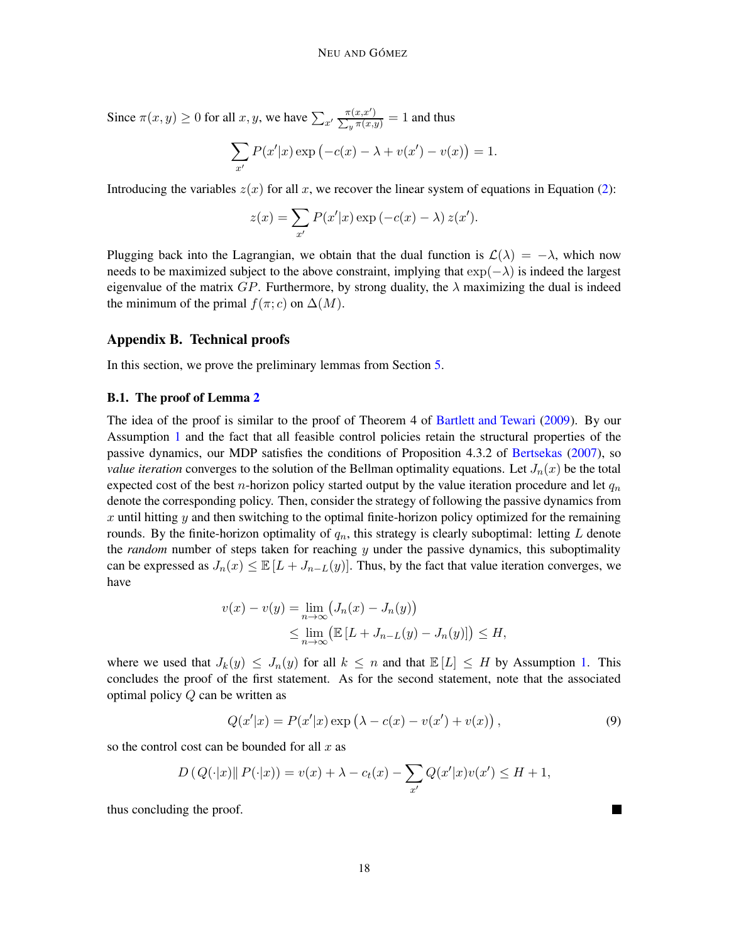Since  $\pi(x, y) \ge 0$  for all  $x, y$ , we have  $\sum_{x'}$  $\pi(x,x)$  $\Sigma$  $\frac{\pi(x,x')}{\pi(x,y)} = 1$  and thus

$$
\sum_{x'} P(x'|x) \exp (-c(x) - \lambda + v(x') - v(x)) = 1.
$$

Introducing the variables  $z(x)$  for all x, we recover the linear system of equations in Equation [\(2\)](#page-3-1):

$$
z(x) = \sum_{x'} P(x'|x) \exp(-c(x) - \lambda) z(x').
$$

Plugging back into the Lagrangian, we obtain that the dual function is  $\mathcal{L}(\lambda) = -\lambda$ , which now needs to be maximized subject to the above constraint, implying that  $\exp(-\lambda)$  is indeed the largest eigenvalue of the matrix  $GP$ . Furthermore, by strong duality, the  $\lambda$  maximizing the dual is indeed the minimum of the primal  $f(\pi; c)$  on  $\Delta(M)$ .

# <span id="page-17-0"></span>Appendix B. Technical proofs

In this section, we prove the preliminary lemmas from Section [5.](#page-7-0)

### B.1. The proof of Lemma [2](#page-8-2)

The idea of the proof is similar to the proof of Theorem 4 of [Bartlett and Tewari](#page-12-2) [\(2009](#page-12-2)). By our Assumption [1](#page-6-2) and the fact that all feasible control policies retain the structural properties of the passive dynamics, our MDP satisfies the conditions of Proposition 4.3.2 of [Bertsekas](#page-12-13) [\(2007\)](#page-12-13), so *value iteration* converges to the solution of the Bellman optimality equations. Let  $J_n(x)$  be the total expected cost of the best *n*-horizon policy started output by the value iteration procedure and let  $q_n$ denote the corresponding policy. Then, consider the strategy of following the passive dynamics from x until hitting y and then switching to the optimal finite-horizon policy optimized for the remaining rounds. By the finite-horizon optimality of  $q_n$ , this strategy is clearly suboptimal: letting  $L$  denote the *random* number of steps taken for reaching y under the passive dynamics, this suboptimality can be expressed as  $J_n(x) \leq \mathbb{E}[L + J_{n-L}(y)]$ . Thus, by the fact that value iteration converges, we have

$$
v(x) - v(y) = \lim_{n \to \infty} (J_n(x) - J_n(y))
$$
  
\n
$$
\leq \lim_{n \to \infty} (\mathbb{E}[L + J_{n-L}(y) - J_n(y)]) \leq H,
$$

where we used that  $J_k(y) \leq J_n(y)$  for all  $k \leq n$  and that  $\mathbb{E}[L] \leq H$  by Assumption [1.](#page-6-2) This concludes the proof of the first statement. As for the second statement, note that the associated optimal policy Q can be written as

<span id="page-17-1"></span>
$$
Q(x'|x) = P(x'|x) \exp (\lambda - c(x) - v(x') + v(x)),
$$
\n(9)

so the control cost can be bounded for all  $x$  as

$$
D(Q(\cdot|x) || P(\cdot|x)) = v(x) + \lambda - c_t(x) - \sum_{x'} Q(x'|x)v(x') \le H + 1,
$$

thus concluding the proof.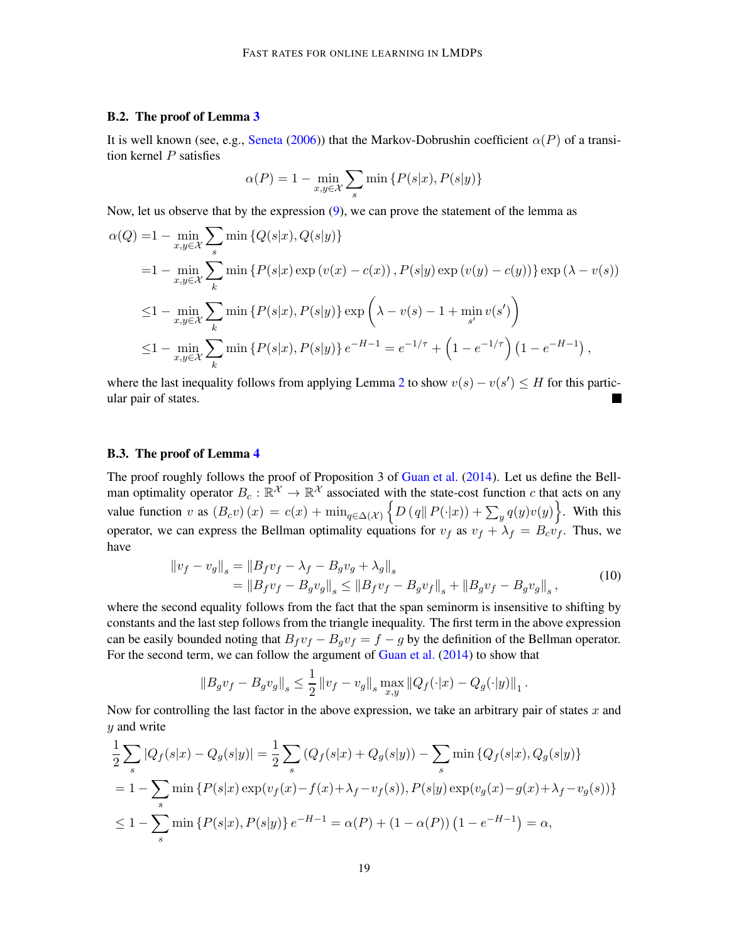### B.2. The proof of Lemma [3](#page-8-3)

It is well known (see, e.g., [Seneta](#page-14-13) [\(2006](#page-14-13))) that the Markov-Dobrushin coefficient  $\alpha(P)$  of a transition kernel  $P$  satisfies

$$
\alpha(P) = 1 - \min_{x,y \in \mathcal{X}} \sum_{s} \min \{ P(s|x), P(s|y) \}
$$

Now, let us observe that by the expression [\(9\)](#page-17-1), we can prove the statement of the lemma as

$$
\alpha(Q) = 1 - \min_{x,y \in \mathcal{X}} \sum_{s} \min \{ Q(s|x), Q(s|y) \}
$$
  
= 1 - \min\_{x,y \in \mathcal{X}} \sum\_{k} \min \{ P(s|x) \exp(v(x) - c(x)), P(s|y) \exp(v(y) - c(y)) \} \exp(\lambda - v(s))  

$$
\leq 1 - \min_{x,y \in \mathcal{X}} \sum_{k} \min \{ P(s|x), P(s|y) \} \exp\left(\lambda - v(s) - 1 + \min_{s'} v(s')\right)
$$
  

$$
\leq 1 - \min_{x,y \in \mathcal{X}} \sum_{k} \min \{ P(s|x), P(s|y) \} e^{-H-1} = e^{-1/\tau} + \left(1 - e^{-1/\tau}\right) \left(1 - e^{-H-1}\right),
$$

where the last inequality follows from applying Lemma [2](#page-8-2) to show  $v(s) - v(s') \leq H$  for this particular pair of states.

# B.3. The proof of Lemma [4](#page-8-1)

The proof roughly follows the proof of Proposition 3 of [Guan et al.](#page-12-12) [\(2014](#page-12-12)). Let us define the Bellman optimality operator  $B_c : \mathbb{R}^{\mathcal{X}} \to \mathbb{R}^{\mathcal{X}}$  associated with the state-cost function c that acts on any value function v as  $(B_c v)(x) = c(x) + \min_{q \in \Delta(\mathcal{X})} \left\{ D(q||P(\cdot|x)) + \sum_{y} q(y)v(y) \right\}$ . With this operator, we can express the Bellman optimality equations for  $v_f$  as  $v_f + \lambda_f = B_c v_f$ . Thus, we have

$$
\|v_f - v_g\|_s = \|B_f v_f - \lambda_f - B_g v_g + \lambda_g\|_s
$$
  
= 
$$
\|B_f v_f - B_g v_g\|_s \le \|B_f v_f - B_g v_f\|_s + \|B_g v_f - B_g v_g\|_s,
$$
 (10)

<span id="page-18-0"></span>where the second equality follows from the fact that the span seminorm is insensitive to shifting by constants and the last step follows from the triangle inequality. The first term in the above expression can be easily bounded noting that  $B_f v_f - B_g v_f = f - g$  by the definition of the Bellman operator. For the second term, we can follow the argument of [Guan et al.](#page-12-12) [\(2014\)](#page-12-12) to show that

$$
||B_g v_f - B_g v_g||_s \le \frac{1}{2} ||v_f - v_g||_s \max_{x,y} ||Q_f(\cdot|x) - Q_g(\cdot|y)||_1.
$$

Now for controlling the last factor in the above expression, we take an arbitrary pair of states x and y and write

$$
\frac{1}{2} \sum_{s} |Q_f(s|x) - Q_g(s|y)| = \frac{1}{2} \sum_{s} (Q_f(s|x) + Q_g(s|y)) - \sum_{s} \min \{Q_f(s|x), Q_g(s|y)\}
$$
\n
$$
= 1 - \sum_{s} \min \{P(s|x) \exp(v_f(x) - f(x) + \lambda_f - v_f(s)), P(s|y) \exp(v_g(x) - g(x) + \lambda_f - v_g(s))\}
$$
\n
$$
\leq 1 - \sum_{s} \min \{P(s|x), P(s|y)\} e^{-H-1} = \alpha(P) + (1 - \alpha(P)) (1 - e^{-H-1}) = \alpha,
$$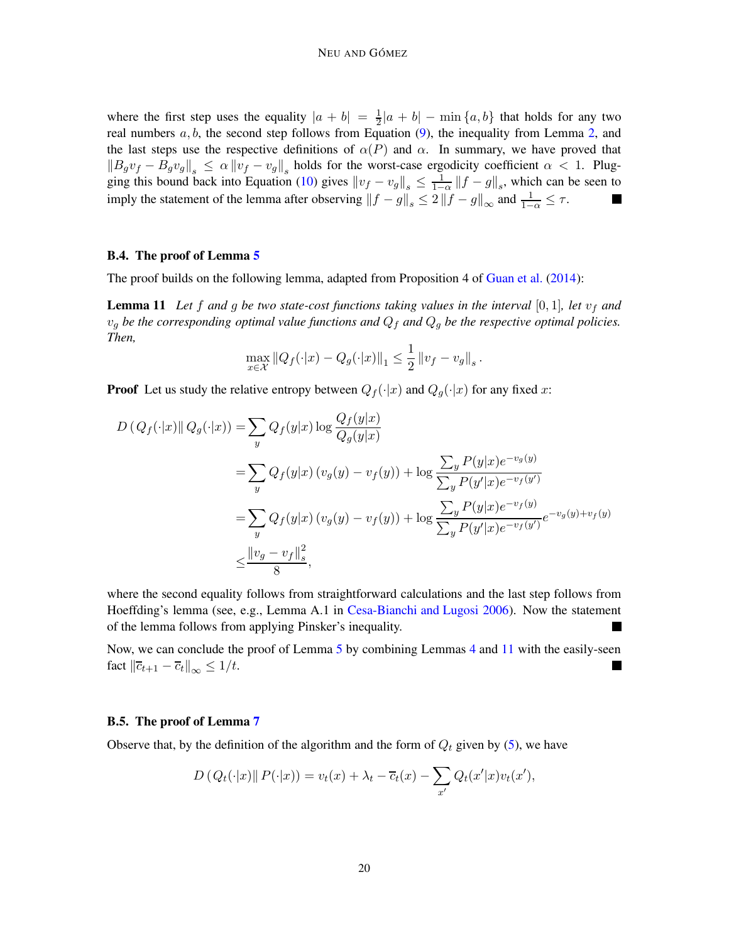where the first step uses the equality  $|a + b| = \frac{1}{2}$  $\frac{1}{2}|a+b| - \min\{a,b\}$  that holds for any two real numbers  $a, b$ , the second step follows from Equation [\(9\)](#page-17-1), the inequality from Lemma [2,](#page-8-2) and the last steps use the respective definitions of  $\alpha(P)$  and  $\alpha$ . In summary, we have proved that  $||B_gv_f - B_gv_g||_s \le \alpha ||v_f - v_g||_s$  holds for the worst-case ergodicity coefficient  $\alpha < 1$ . Plug-ging this bound back into Equation [\(10\)](#page-18-0) gives  $||v_f - v_g||_s \le \frac{1}{1 - \epsilon}$  $\frac{1}{1-\alpha}$   $||f - g||_s$ , which can be seen to imply the statement of the lemma after observing  $||f - g||_s \le 2 ||f - g||_{\infty}$  and  $\frac{1}{1-\alpha} \le \tau$ . Ш

# B.4. The proof of Lemma [5](#page-8-0)

The proof builds on the following lemma, adapted from Proposition 4 of [Guan et al.](#page-12-12) [\(2014](#page-12-12)):

**Lemma 11** Let f and g be two state-cost functions taking values in the interval  $[0,1]$ , let  $v_f$  and  $v_q$  *be the corresponding optimal value functions and*  $Q_f$  *and*  $Q_q$  *be the respective optimal policies. Then,*

<span id="page-19-1"></span>
$$
\max_{x \in \mathcal{X}} \|Q_f(\cdot|x) - Q_g(\cdot|x)\|_1 \leq \frac{1}{2} \|v_f - v_g\|_s.
$$

**Proof** Let us study the relative entropy between  $Q_f(\cdot|x)$  and  $Q_g(\cdot|x)$  for any fixed x:

$$
D (Q_f(\cdot|x) || Q_g(\cdot|x)) = \sum_{y} Q_f(y|x) \log \frac{Q_f(y|x)}{Q_g(y|x)}
$$
  
= 
$$
\sum_{y} Q_f(y|x) (v_g(y) - v_f(y)) + \log \frac{\sum_{y} P(y|x) e^{-v_g(y)}}{\sum_{y} P(y'|x) e^{-v_f(y')}}
$$
  
= 
$$
\sum_{y} Q_f(y|x) (v_g(y) - v_f(y)) + \log \frac{\sum_{y} P(y|x) e^{-v_f(y)}}{\sum_{y} P(y'|x) e^{-v_f(y')}} e^{-v_g(y) + v_f(y)}
$$
  

$$
\leq \frac{||v_g - v_f||_s^2}{8},
$$

where the second equality follows from straightforward calculations and the last step follows from Hoeffding's lemma (see, e.g., Lemma A.1 in [Cesa-Bianchi and Lugosi 2006](#page-12-1)). Now the statement of the lemma follows from applying Pinsker's inequality. ш

Now, we can conclude the proof of Lemma [5](#page-8-0) by combining Lemmas [4](#page-8-1) and [11](#page-19-1) with the easily-seen fact  $\|\overline{c}_{t+1} - \overline{c}_t\|_{\infty} \leq 1/t.$ ٠

#### <span id="page-19-0"></span>B.5. The proof of Lemma [7](#page-9-1)

Observe that, by the definition of the algorithm and the form of  $Q_t$  given by [\(5\)](#page-6-3), we have

$$
D(Q_t(\cdot|x)\|P(\cdot|x)) = v_t(x) + \lambda_t - \overline{c}_t(x) - \sum_{x'} Q_t(x'|x)v_t(x'),
$$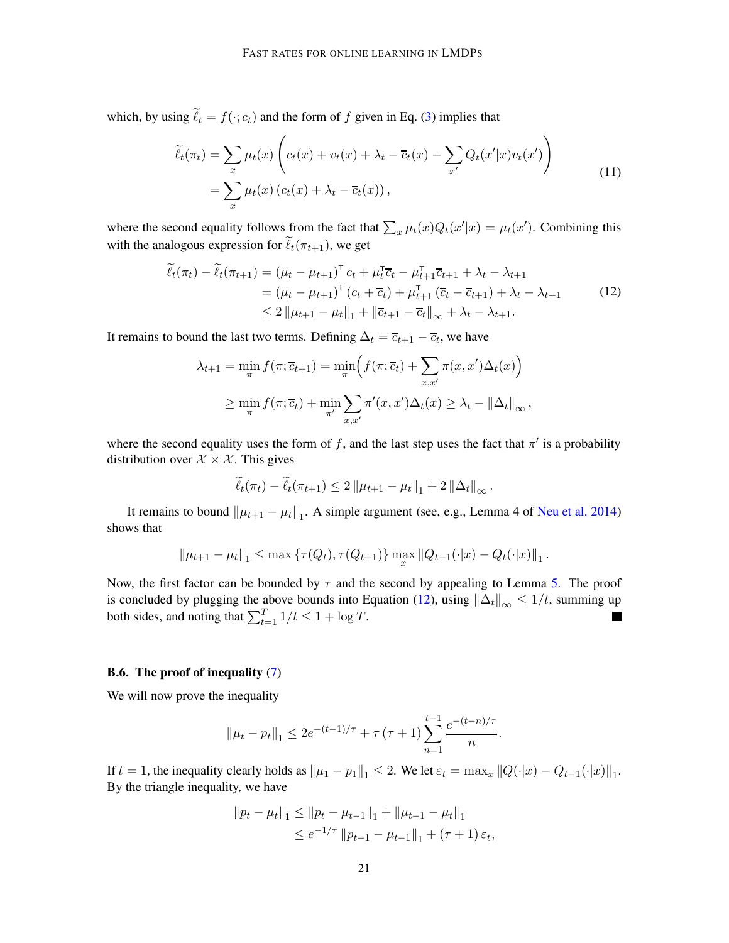<span id="page-20-1"></span>which, by using  $\ell_t = f(\cdot; c_t)$  and the form of f given in Eq. [\(3\)](#page-4-1) implies that

$$
\widetilde{\ell}_t(\pi_t) = \sum_x \mu_t(x) \left( c_t(x) + v_t(x) + \lambda_t - \overline{c}_t(x) - \sum_{x'} Q_t(x'|x) v_t(x') \right)
$$
\n
$$
= \sum_x \mu_t(x) \left( c_t(x) + \lambda_t - \overline{c}_t(x) \right),
$$
\n(11)

 $\lambda$ 

where the second equality follows from the fact that  $\sum_x \mu_t(x) Q_t(x'|x) = \mu_t(x')$ . Combining this with the analogous expression for  $\ell_t(\pi_{t+1})$ , we get

$$
\widetilde{\ell}_{t}(\pi_{t}) - \widetilde{\ell}_{t}(\pi_{t+1}) = (\mu_{t} - \mu_{t+1})^{\top} c_{t} + \mu_{t}^{\top} \overline{c}_{t} - \mu_{t+1}^{\top} \overline{c}_{t+1} + \lambda_{t} - \lambda_{t+1} \n= (\mu_{t} - \mu_{t+1})^{\top} (c_{t} + \overline{c}_{t}) + \mu_{t+1}^{\top} (\overline{c}_{t} - \overline{c}_{t+1}) + \lambda_{t} - \lambda_{t+1} \n\leq 2 \| \mu_{t+1} - \mu_{t} \|_{1} + \| \overline{c}_{t+1} - \overline{c}_{t} \|_{\infty} + \lambda_{t} - \lambda_{t+1}.
$$
\n(12)

<span id="page-20-0"></span>It remains to bound the last two terms. Defining  $\Delta_t = \overline{c}_{t+1} - \overline{c}_t$ , we have

$$
\lambda_{t+1} = \min_{\pi} f(\pi; \overline{c}_{t+1}) = \min_{\pi} \Big( f(\pi; \overline{c}_{t}) + \sum_{x, x'} \pi(x, x') \Delta_t(x) \Big)
$$
  

$$
\geq \min_{\pi} f(\pi; \overline{c}_{t}) + \min_{\pi'} \sum_{x, x'} \pi'(x, x') \Delta_t(x) \geq \lambda_t - ||\Delta_t||_{\infty},
$$

where the second equality uses the form of f, and the last step uses the fact that  $\pi'$  is a probability distribution over  $X \times X$ . This gives

$$
\widetilde{\ell}_t(\pi_t) - \widetilde{\ell}_t(\pi_{t+1}) \leq 2 \|\mu_{t+1} - \mu_t\|_1 + 2 \|\Delta_t\|_{\infty}.
$$

It remains to bound  $\|\mu_{t+1} - \mu_t\|_1$ . A simple argument (see, e.g., Lemma 4 of [Neu et al. 2014](#page-13-4)) shows that

$$
\|\mu_{t+1} - \mu_t\|_1 \le \max \left\{\tau(Q_t), \tau(Q_{t+1})\right\} \max_x \|Q_{t+1}(\cdot|x) - Q_t(\cdot|x)\|_1.
$$

Now, the first factor can be bounded by  $\tau$  and the second by appealing to Lemma [5.](#page-8-0) The proof is concluded by plugging the above bounds into Equation [\(12\)](#page-20-0), using  $\|\Delta_t\|_{\infty} \leq 1/t$ , summing up both sides, and noting that  $\sum_{t=1}^{T} 1/t \le 1 + \log T$ .

### <span id="page-20-2"></span>**B.6.** The proof of inequality  $(7)$

We will now prove the inequality

$$
\|\mu_t - p_t\|_1 \le 2e^{-(t-1)/\tau} + \tau (\tau + 1) \sum_{n=1}^{t-1} \frac{e^{-(t-n)/\tau}}{n}.
$$

If  $t = 1$ , the inequality clearly holds as  $\|\mu_1 - \mu_1\|_1 \leq 2$ . We let  $\varepsilon_t = \max_x \|Q(\cdot|x) - Q_{t-1}(\cdot|x)\|_1$ . By the triangle inequality, we have

$$
||p_t - \mu_t||_1 \le ||p_t - \mu_{t-1}||_1 + ||\mu_{t-1} - \mu_t||_1
$$
  
\n
$$
\le e^{-1/\tau} ||p_{t-1} - \mu_{t-1}||_1 + (\tau + 1) \varepsilon_t,
$$